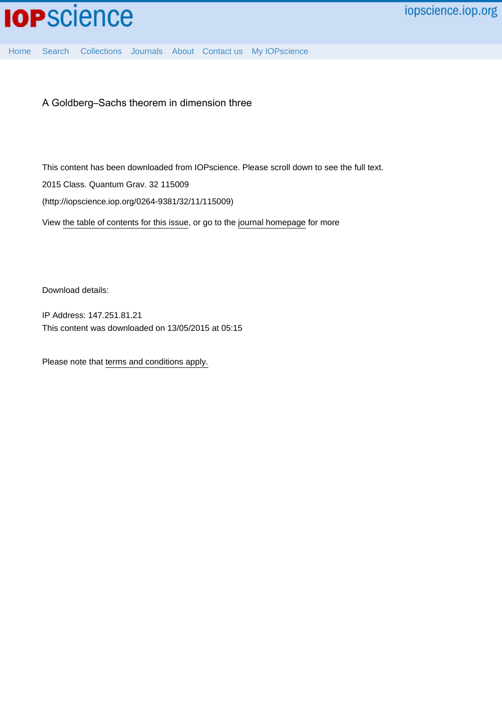

[Home](http://iopscience.iop.org/) [Search](http://iopscience.iop.org/search) [Collections](http://iopscience.iop.org/collections) [Journals](http://iopscience.iop.org/journals) [About](http://iopscience.iop.org/page/aboutioppublishing) [Contact us](http://iopscience.iop.org/contact) [My IOPscience](http://iopscience.iop.org/myiopscience)

A Goldberg–Sachs theorem in dimension three

This content has been downloaded from IOPscience. Please scroll down to see the full text.

2015 Class. Quantum Grav. 32 115009

(http://iopscience.iop.org/0264-9381/32/11/115009)

View [the table of contents for this issue](http://iopscience.iop.org/0264-9381/32/11), or go to the [journal homepage](http://iopscience.iop.org/0264-9381) for more

Download details:

IP Address: 147.251.81.21 This content was downloaded on 13/05/2015 at 05:15

Please note that [terms and conditions apply.](iopscience.iop.org/page/terms)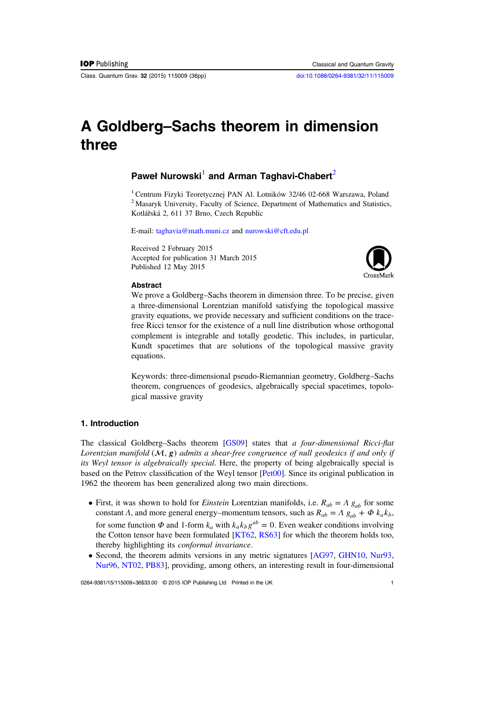Class. Quantum Grav. 32 (2015) 115009 (36pp) [doi:10.1088/0264-9381/32/11/115009](http://dx.doi.org/10.1088/0264-9381/32/11/115009)

# A Goldberg–Sachs theorem in dimension three

## Paweł Nurowski<sup>1</sup> and Arman Taghavi-Chabert<sup>2</sup>

<sup>1</sup> Centrum Fizyki Teoretycznej PAN Al. Lotników 32/46 02-668 Warszawa, Poland <sup>2</sup> Masaryk University, Faculty of Science, Department of Mathematics and Statistics, Kotlářská 2, 611 37 Brno, Czech Republic

E-mail: [taghavia@math.muni.cz](mailto:taghavia@math.muni.cz) and [nurowski@cft.edu.pl](mailto:nurowski@cft.edu.pl)

Received 2 February 2015 Accepted for publication 31 March 2015 Published 12 May 2015



#### **Abstract**

We prove a Goldberg–Sachs theorem in dimension three. To be precise, given a three-dimensional Lorentzian manifold satisfying the topological massive gravity equations, we provide necessary and sufficient conditions on the tracefree Ricci tensor for the existence of a null line distribution whose orthogonal complement is integrable and totally geodetic. This includes, in particular, Kundt spacetimes that are solutions of the topological massive gravity equations.

Keywords: three-dimensional pseudo-Riemannian geometry, Goldberg–Sachs theorem, congruences of geodesics, algebraically special spacetimes, topological massive gravity

## 1. Introduction

The classical Goldberg–Sachs theorem [\[GS09\]](#page-35-0) states that a four-dimensional Ricci-flat Lorentzian manifold  $(M, g)$  admits a shear-free congruence of null geodesics if and only if its Weyl tensor is algebraically special. Here, the property of being algebraically special is based on the Petrov classification of the Weyl tensor [[Pet00](#page-36-0)]. Since its original publication in 1962 the theorem has been generalized along two main directions.

- First, it was shown to hold for *Einstein* Lorentzian manifolds, i.e.  $R_{ab} = A g_{ab}$  for some constant Λ, and more general energy–momentum tensors, such as  $R_{ab} = A g_{ab} + \Phi k_a k_b$ , for some function  $\Phi$  and 1-form  $k_a$  with  $k_a k_b g^{ab} = 0$ . Even weaker conditions involving the Cotton tensor have been formulated [\[KT62](#page-35-0), [RS63\]](#page-36-0) for which the theorem holds too, thereby highlighting its conformal invariance.
- Second, the theorem admits versions in any metric signatures [[AG97,](#page-35-0) [GHN10](#page-35-0), [Nur93,](#page-35-0) [Nur96,](#page-35-0) [NT02](#page-35-0), [PB83\]](#page-36-0), providing, among others, an interesting result in four-dimensional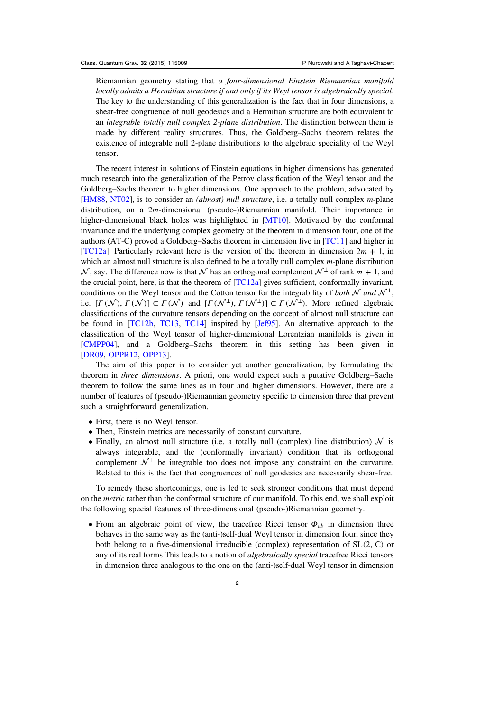Riemannian geometry stating that a four-dimensional Einstein Riemannian manifold locally admits a Hermitian structure if and only if its Weyl tensor is algebraically special. The key to the understanding of this generalization is the fact that in four dimensions, a shear-free congruence of null geodesics and a Hermitian structure are both equivalent to an integrable totally null complex 2-plane distribution. The distinction between them is made by different reality structures. Thus, the Goldberg–Sachs theorem relates the existence of integrable null 2-plane distributions to the algebraic speciality of the Weyl tensor.

The recent interest in solutions of Einstein equations in higher dimensions has generated much research into the generalization of the Petrov classification of the Weyl tensor and the Goldberg–Sachs theorem to higher dimensions. One approach to the problem, advocated by [[HM88,](#page-35-0) [NT02\]](#page-35-0), is to consider an *(almost) null structure*, i.e. a totally null complex *m*-plane distribution, on a 2*m*-dimensional (pseudo-)Riemannian manifold. Their importance in higher-dimensional black holes was highlighted in [[MT10\]](#page-35-0). Motivated by the conformal invariance and the underlying complex geometry of the theorem in dimension four, one of the authors (AT-C) proved a Goldberg–Sachs theorem in dimension five in [\[TC11\]](#page-36-0) and higher in [[TC12a\]](#page-36-0). Particularly relevant here is the version of the theorem in dimension  $2m + 1$ , in which an almost null structure is also defined to be a totally null complex *m*-plane distribution  $\mathcal N$ , say. The difference now is that  $\mathcal N$  has an orthogonal complement  $\mathcal N$ <sup>⊥</sup> of rank  $m + 1$ , and the crucial point, here, is that the theorem of  $[TC12a]$  $[TC12a]$  gives sufficient, conformally invariant, conditions on the Weyl tensor and the Cotton tensor for the integrability of both  $\mathcal N$  and  $\mathcal N^{\perp}$ , i.e.  $[\Gamma(\mathcal{N}), \Gamma(\mathcal{N})] \subset \Gamma(\mathcal{N})$  and  $[\Gamma(\mathcal{N}^{\perp}), \Gamma(\mathcal{N}^{\perp})] \subset \Gamma(\mathcal{N}^{\perp})$ . More refined algebraic classifications of the curvature tensors depending on the concept of almost null structure can be found in [[TC12b,](#page-36-0) [TC13,](#page-36-0) [TC14\]](#page-36-0) inspired by [[Jef95](#page-35-0)]. An alternative approach to the classification of the Weyl tensor of higher-dimensional Lorentzian manifolds is given in [[CMPP04](#page-35-0)], and a Goldberg–Sachs theorem in this setting has been given in [[DR09,](#page-35-0) [OPPR12](#page-36-0), [OPP13](#page-36-0)].

The aim of this paper is to consider yet another generalization, by formulating the theorem in three dimensions. A priori, one would expect such a putative Goldberg–Sachs theorem to follow the same lines as in four and higher dimensions. However, there are a number of features of (pseudo-)Riemannian geometry specific to dimension three that prevent such a straightforward generalization.

- First, there is no Weyl tensor.
- Then, Einstein metrics are necessarily of constant curvature.
- Finally, an almost null structure (i.e. a totally null (complex) line distribution)  $\mathcal N$  is always integrable, and the (conformally invariant) condition that its orthogonal complement  $\mathcal{N}^{\perp}$  be integrable too does not impose any constraint on the curvature. Related to this is the fact that congruences of null geodesics are necessarily shear-free.

To remedy these shortcomings, one is led to seek stronger conditions that must depend on the *metric* rather than the conformal structure of our manifold. To this end, we shall exploit the following special features of three-dimensional (pseudo-)Riemannian geometry.

• From an algebraic point of view, the tracefree Ricci tensor *Φab* in dimension three behaves in the same way as the (anti-)self-dual Weyl tensor in dimension four, since they both belong to a five-dimensional irreducible (complex) representation of  $SL(2, \mathbb{C})$  or any of its real forms This leads to a notion of *algebraically special* tracefree Ricci tensors in dimension three analogous to the one on the (anti-)self-dual Weyl tensor in dimension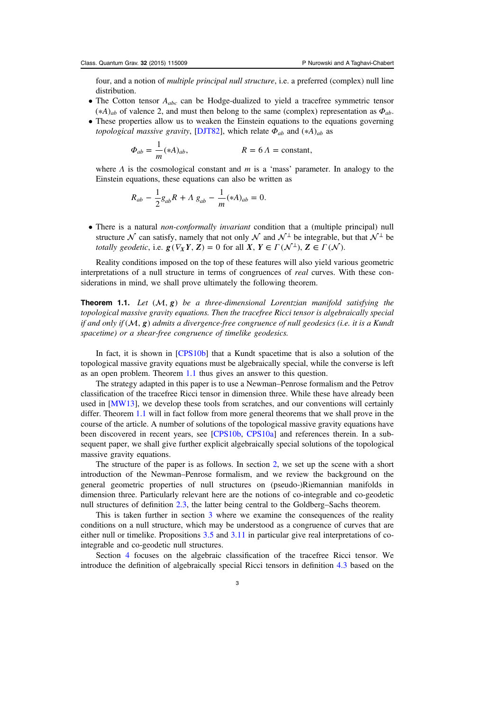four, and a notion of multiple principal null structure, i.e. a preferred (complex) null line distribution.

- The Cotton tensor  $A_{abc}$  can be Hodge-dualized to yield a tracefree symmetric tensor  $(*A)$ <sub>*ab*</sub> of valence 2, and must then belong to the same (complex) representation as  $\Phi$ <sub>*ab*</sub>.
- These properties allow us to weaken the Einstein equations to the equations governing *topological massive gravity,* [\[DJT82](#page-35-0)], which relate  $\Phi_{ab}$  and  $(*A)_{ab}$  as

$$
\Phi_{ab} = \frac{1}{m} (*A)_{ab}, \qquad R = 6 \text{ }\Lambda = \text{constant},
$$

where  $\Lambda$  is the cosmological constant and  $m$  is a 'mass' parameter. In analogy to the Einstein equations, these equations can also be written as

$$
R_{ab} - \frac{1}{2}g_{ab}R + \Lambda g_{ab} - \frac{1}{m}(*A)_{ab} = 0.
$$

• There is a natural *non-conformally invariant* condition that a (multiple principal) null structure  $\mathcal N$  can satisfy, namely that not only  $\mathcal N$  and  $\mathcal N^{\perp}$  be integrable, but that  $\mathcal N^{\perp}$  be *totally geodetic, i.e.*  $g(\nabla_X Y, Z) = 0$  for all  $X, Y \in \Gamma(\mathcal{N}^{\perp}), Z \in \Gamma(\mathcal{N}).$ 

Reality conditions imposed on the top of these features will also yield various geometric interpretations of a null structure in terms of congruences of real curves. With these considerations in mind, we shall prove ultimately the following theorem.

**Theorem 1.1.** Let  $(M, g)$  be a three-dimensional Lorentzian manifold satisfying the topological massive gravity equations. Then the tracefree Ricci tensor is algebraically special if and only if  $(M, g)$  admits a divergence-free congruence of null geodesics (i.e. it is a Kundt spacetime) or a shear-free congruence of timelike geodesics.

In fact, it is shown in [[CPS10b\]](#page-35-0) that a Kundt spacetime that is also a solution of the topological massive gravity equations must be algebraically special, while the converse is left as an open problem. Theorem 1.1 thus gives an answer to this question.

The strategy adapted in this paper is to use a Newman–Penrose formalism and the Petrov classification of the tracefree Ricci tensor in dimension three. While these have already been used in [\[MW13](#page-35-0)], we develop these tools from scratches, and our conventions will certainly differ. Theorem 1.1 will in fact follow from more general theorems that we shall prove in the course of the article. A number of solutions of the topological massive gravity equations have been discovered in recent years, see [[CPS10b](#page-35-0), [CPS10a](#page-35-0)] and references therein. In a subsequent paper, we shall give further explicit algebraically special solutions of the topological massive gravity equations.

The structure of the paper is as follows. In section [2](#page-4-0), we set up the scene with a short introduction of the Newman–Penrose formalism, and we review the background on the general geometric properties of null structures on (pseudo-)Riemannian manifolds in dimension three. Particularly relevant here are the notions of co-integrable and co-geodetic null structures of definition [2.3,](#page-7-0) the latter being central to the Goldberg–Sachs theorem.

This is taken further in section [3](#page-9-0) where we examine the consequences of the reality conditions on a null structure, which may be understood as a congruence of curves that are either null or timelike. Propositions [3.5](#page-11-0) and [3.11](#page-13-0) in particular give real interpretations of cointegrable and co-geodetic null structures.

Section [4](#page-14-0) focuses on the algebraic classification of the tracefree Ricci tensor. We introduce the definition of algebraically special Ricci tensors in definition [4.3](#page-14-0) based on the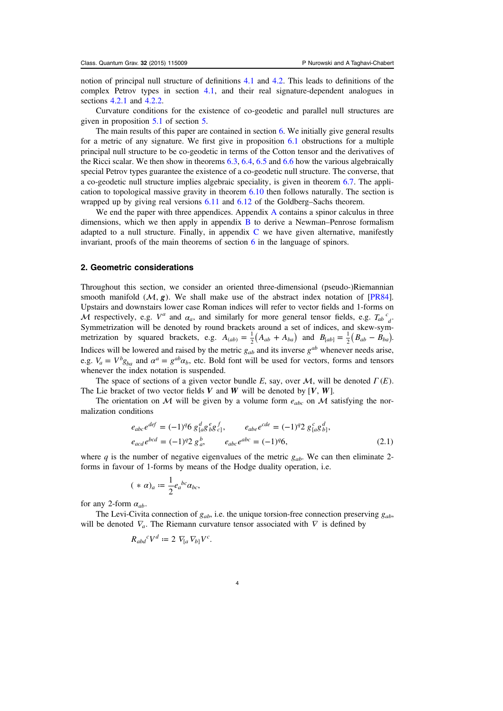<span id="page-4-0"></span>notion of principal null structure of definitions [4.1](#page-14-0) and [4.2.](#page-14-0) This leads to definitions of the complex Petrov types in section [4.1,](#page-15-0) and their real signature-dependent analogues in sections [4.2.1](#page-16-0) and [4.2.2.](#page-17-0)

Curvature conditions for the existence of co-geodetic and parallel null structures are given in proposition [5.1](#page-18-0) of section [5.](#page-17-0)

The main results of this paper are contained in section [6](#page-18-0). We initially give general results for a metric of any signature. We first give in proposition [6.1](#page-18-0) obstructions for a multiple principal null structure to be co-geodetic in terms of the Cotton tensor and the derivatives of the Ricci scalar. We then show in theorems [6.3](#page-20-0), [6.4,](#page-20-0) [6.5](#page-20-0) and [6.6](#page-21-0) how the various algebraically special Petrov types guarantee the existence of a co-geodetic null structure. The converse, that a co-geodetic null structure implies algebraic speciality, is given in theorem [6.7.](#page-21-0) The application to topological massive gravity in theorem [6.10](#page-24-0) then follows naturally. The section is wrapped up by giving real versions [6.11](#page-24-0) and [6.12](#page-24-0) of the Goldberg–Sachs theorem.

We end the paper with three appendices. [A](#page-25-0)ppendix A contains a spinor calculus in three dimensions, which we then apply in appendix  $\bf{B}$  $\bf{B}$  $\bf{B}$  to derive a Newman–Penrose formalism adapted to a null structure. Finally, in appendix [C](#page-31-0) we have given alternative, manifestly invariant, proofs of the main theorems of section [6](#page-18-0) in the language of spinors.

#### 2. Geometric considerations

Throughout this section, we consider an oriented three-dimensional (pseudo-)Riemannian smooth manifold  $(M, g)$ . We shall make use of the abstract index notation of [\[PR84\]](#page-36-0). Upstairs and downstairs lower case Roman indices will refer to vector fields and 1-forms on  $\overline{M}$  respectively, e.g.  $V^a$  and  $\alpha_a$ , and similarly for more general tensor fields, e.g.  $T_{ab}^c{}_d^c$ . Symmetrization will be denoted by round brackets around a set of indices, and skew-symmetrization by squared brackets, e.g.  $A_{(ab)} = \frac{1}{2}(A_{ab} + A_{ba})$  and  $B_{[ab]} = \frac{1}{2}(B_{ab} - B_{ba})$ . Indices will be lowered and raised by the metric  $g_{ab}$  and its inverse  $g^{ab}$  whenever needs arise, e.g.  $V_a = V^b g_{ba}$  and  $\alpha^a = g^{ab} \alpha_b$ , etc. Bold font will be used for vectors, forms and tensors whenever the index notation is suspended.

The space of sections of a given vector bundle E, say, over  $M$ , will be denoted  $\Gamma(E)$ . The Lie bracket of two vector fields  $V$  and  $W$  will be denoted by  $[V, W]$ .

The orientation on M will be given by a volume form  $e_{abc}$  on M satisfying the normalization conditions

$$
e_{abc}e^{def} = (-1)^q 6 g^{d}_{[a}g^{e}_{b}g^{f}_{c]}, \qquad e_{abe}e^{cde} = (-1)^q 2 g^{c}_{[a}g^{d}_{b]},
$$
  
\n
$$
e_{acd}e^{bcd} = (-1)^q 2 g^{b}_{a}, \qquad e_{abc}e^{abc} = (-1)^q 6,
$$
\n(2.1)

where q is the number of negative eigenvalues of the metric  $g_{ab}$ . We can then eliminate 2forms in favour of 1-forms by means of the Hodge duality operation, i.e.

$$
(*\alpha)_a := \frac{1}{2}e_a{}^{bc}\alpha_{bc},
$$

for any 2-form  $\alpha_{ab}$ .

The Levi-Civita connection of  $g_{ab}$ , i.e. the unique torsion-free connection preserving  $g_{ab}$ , will be denoted  $\nabla_a$ . The Riemann curvature tensor associated with  $\nabla$  is defined by

$$
R_{abd}{}^c V^d := 2 \ V_{[a} \ V_{b]} V^c.
$$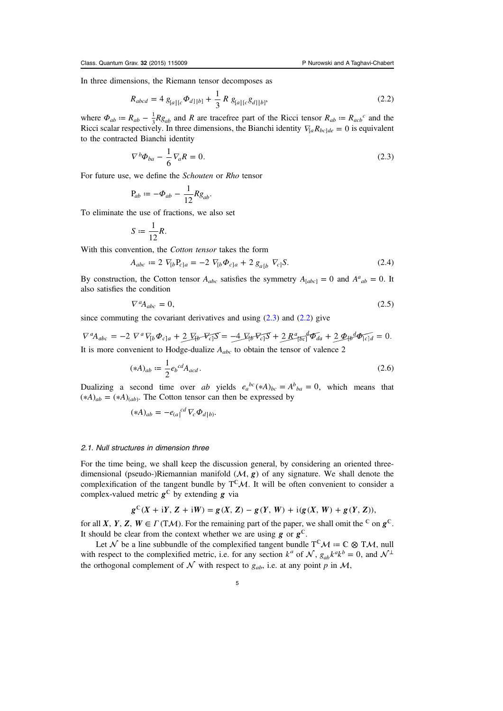<span id="page-5-0"></span>In three dimensions, the Riemann tensor decomposes as

$$
R_{abcd} = 4 g_{[a][c} \Phi_{d][b]} + \frac{1}{3} R g_{[a][c} g_{d][b]},
$$
 (2.2)

where  $\Phi_{ab} = R_{ab} - \frac{1}{3} R g_{ab}$  and R are tracefree part of the Ricci tensor  $R_{ab} = R_{acb}c$  and the Ricci scalar respectively. In three dimensions, the Bianchi identity  $\nabla_{a} R_{bc} = 0$  is equivalent to the contracted Bianchi identity

$$
\nabla^b \Phi_{ba} - \frac{1}{6} \nabla_a R = 0. \tag{2.3}
$$

For future use, we define the Schouten or Rho tensor

$$
P_{ab} := -\Phi_{ab} - \frac{1}{12} R g_{ab}.
$$

To eliminate the use of fractions, we also set

$$
S := \frac{1}{12}R.
$$

With this convention, the Cotton tensor takes the form

$$
A_{abc} := 2 \nabla_{[b} P_{c]a} = -2 \nabla_{[b} \Phi_{c]a} + 2 g_{a[b} \nabla_{c]} S. \tag{2.4}
$$

By construction, the Cotton tensor  $A_{abc}$  satisfies the symmetry  $A_{[abc]} = 0$  and  $A^a{}_{ab} = 0$ . It also satisfies the condition

$$
\nabla^a A_{abc} = 0,\tag{2.5}
$$

since commuting the covariant derivatives and using  $(2.3)$  and  $(2.2)$  give

$$
\nabla^a A_{abc} = -2 \nabla^a \nabla_{[b} \Phi_{c]a} + 2 \nabla_{[b} \nabla_{c]} S = -4 \nabla_{[b} \nabla_{c]} S + 2 R^a_{[bc]} \Phi_{da} + 2 \Phi_{[b} \Phi_{[c]d} = 0.
$$
  
It is more convenient to Hodge-dualize  $A_{abc}$  to obtain the tensor of valence 2

$$
(*A)_{ab} := \frac{1}{2} e_b{}^{cd} A_{acd} \,. \tag{2.6}
$$

Dualizing a second time over ab yields  $e_a^{bc}(*A)_{bc} = A^b{}_{ba} = 0$ , which means that  $(*A)_{ab} = (*A)_{(ab)}$ . The Cotton tensor can then be expressed by

$$
(*A)_{ab} = -e_{(a)}^{cd} \nabla_c \Phi_{d|b)}.
$$

#### 2.1. Null structures in dimension three

For the time being, we shall keep the discussion general, by considering an oriented threedimensional (pseudo-)Riemannian manifold  $(M, g)$  of any signature. We shall denote the complexification of the tangent bundle by  $T^{\mathbb{C}}M$ . It will be often convenient to consider a complex-valued metric  $g^{\mathbb{C}}$  by extending *g* via

$$
g^{C}(X + iY, Z + iW) = g(X, Z) - g(Y, W) + i(g(X, W) + g(Y, Z)),
$$

for all *X*, *Y*, *Z*, *W*  $\in$  *Γ* (T*M*). For the remaining part of the paper, we shall omit the <sup>C</sup> on  $g^C$ . It should be clear from the context whether we are using  $g$  or  $g^{\mathbb{C}}$ .

Let  $\mathcal N$  be a line subbundle of the complexified tangent bundle  $T^{\mathbb C}\mathcal M:=\mathbb C\otimes T\mathcal M$ , null with respect to the complexified metric, i.e. for any section  $k^a$  of  $\mathcal{N}$ ,  $g_{ab}k^a k^b = 0$ , and  $\mathcal{N}^{\perp}$ the orthogonal complement of N with respect to  $g_{ab}$ , i.e. at any point p in M,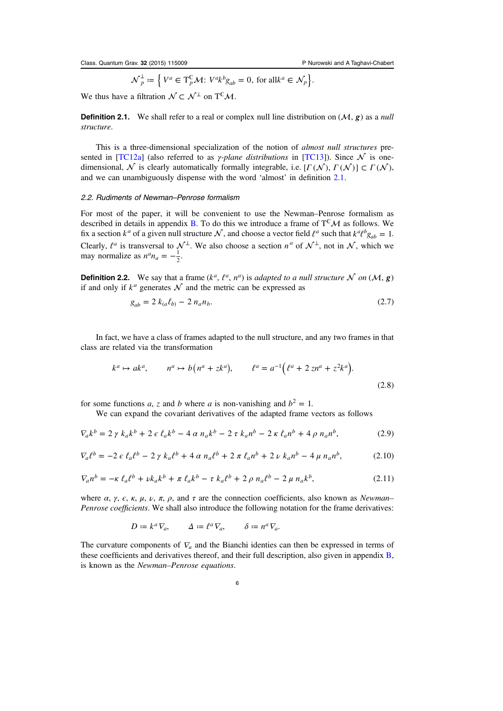$$
\mathcal{N}_p^{\perp} \coloneqq \left\{ V^a \in \mathrm{T}_p^{\mathbb{C}} \mathcal{M} \colon V^a k^b g_{ab} = 0, \text{ for all } k^a \in \mathcal{N}_p \right\}.
$$

<span id="page-6-0"></span>We thus have a filtration  $\mathcal{N} \subset \mathcal{N}^{\perp}$  on T<sup>C</sup>M.

**Definition 2.1.** We shall refer to a real or complex null line distribution on  $(M, g)$  as a null structure.

This is a three-dimensional specialization of the notion of *almost null structures* pre-sented in [\[TC12a](#page-36-0)] (also referred to as *γ-plane distributions* in [[TC13](#page-36-0)]). Since  $\mathcal N$  is onedimensional,  $\mathcal N$  is clearly automatically formally integrable, i.e.  $[ \Gamma(\mathcal N), \Gamma(\mathcal N) ] \subset \Gamma(\mathcal N),$ and we can unambiguously dispense with the word 'almost' in definition 2.1.

#### 2.2. Rudiments of Newman–Penrose formalism

For most of the paper, it will be convenient to use the Newman–Penrose formalism as described in details in appendix [B](#page-27-0). To do this we introduce a frame of  $T^{\mathbb{C}}\mathcal{M}$  as follows. We fix a section  $k^a$  of a given null structure  $\mathcal N$ , and choose a vector field  $\ell^a$  such that  $k^a \ell^b g_{ab} = 1$ . Clearly,  $\ell^a$  is transversal to  $\mathcal{N}^\perp$ . We also choose a section  $n^a$  of  $\mathcal{N}^\perp$ , not in  $\mathcal{N}$ , which we may normalize as  $n^a n_a = -\frac{1}{2}$ .

**Definition 2.2.** We say that a frame  $(k^a, \ell^a, n^a)$  is adapted to a null structure  $N$  on  $(M, g)$ if and only if  $k^a$  generates  $\mathcal N$  and the metric can be expressed as

$$
g_{ab} = 2 k_{(a} \ell_{b)} - 2 n_{a} n_{b}.
$$
 (2.7)

In fact, we have a class of frames adapted to the null structure, and any two frames in that class are related via the transformation

$$
k^a \mapsto ak^a
$$
,  $n^a \mapsto b(n^a + zk^a)$ ,  $l^a = a^{-1}(l^a + 2zn^a + z^2k^a)$ . (2.8)

for some functions a, z and b where a is non-vanishing and  $b^2 = 1$ .

We can expand the covariant derivatives of the adapted frame vectors as follows

$$
\nabla_a k^b = 2 \gamma k_a k^b + 2 \epsilon \ell_a k^b - 4 \alpha n_a k^b - 2 \tau k_a n^b - 2 \kappa \ell_a n^b + 4 \rho n_a n^b, \tag{2.9}
$$

$$
\nabla_a \ell^b = -2 \epsilon \ell_a \ell^b - 2 \gamma k_a \ell^b + 4 \alpha n_a \ell^b + 2 \pi \ell_a n^b + 2 \nu k_a n^b - 4 \mu n_a n^b, \tag{2.10}
$$

$$
\nabla_a n^b = -\kappa \,\ell_a \ell^b + \nu k_a k^b + \pi \,\ell_a k^b - \tau \,k_a \ell^b + 2 \,\rho \,n_a \ell^b - 2 \,\mu \,n_a k^b,\tag{2.11}
$$

where  $\alpha$ ,  $\gamma$ ,  $\epsilon$ ,  $\kappa$ ,  $\mu$ ,  $\nu$ ,  $\pi$ ,  $\rho$ , and  $\tau$  are the connection coefficients, also known as Newman– Penrose coefficients. We shall also introduce the following notation for the frame derivatives:

$$
D := k^a \nabla_a, \qquad \Delta := \ell^a \nabla_a, \qquad \delta := n^a \nabla_a.
$$

The curvature components of  $\nabla_a$  and the Bianchi identies can then be expressed in terms of these coefficients and derivatives thereof, and their full description, also given in appendix [B,](#page-27-0) is known as the Newman–Penrose equations.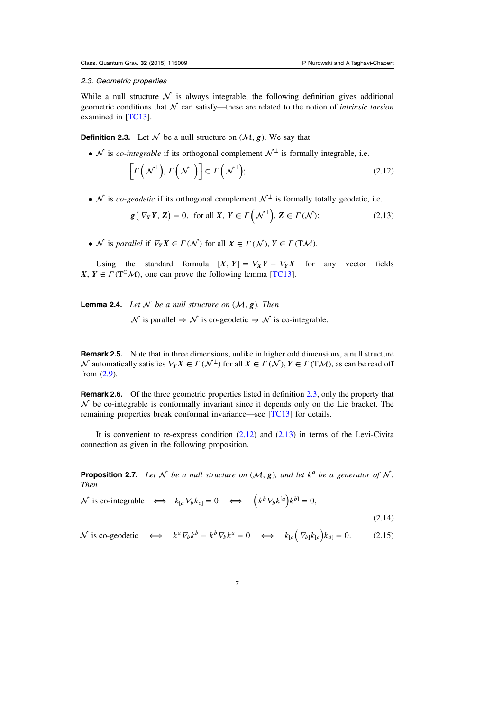## <span id="page-7-0"></span>2.3. Geometric properties

While a null structure  $\mathcal N$  is always integrable, the following definition gives additional geometric conditions that  $\mathcal N$  can satisfy—these are related to the notion of *intrinsic torsion* examined in [[TC13](#page-36-0)].

**Definition 2.3.** Let  $\mathcal N$  be a null structure on  $(\mathcal M, \varrho)$ . We say that

•  $\mathcal N$  is *co-integrable* if its orthogonal complement  $\mathcal N^{\perp}$  is formally integrable, i.e.

$$
\[ \Gamma\left(\mathcal{N}^{\perp}\right), \Gamma\left(\mathcal{N}^{\perp}\right) \] \subset \Gamma\left(\mathcal{N}^{\perp}\right); \tag{2.12}
$$

•  $\mathcal N$  is *co-geodetic* if its orthogonal complement  $\mathcal N^{\perp}$  is formally totally geodetic, i.e.

$$
\mathbf{g}(\nabla_X Y, \mathbf{Z}) = 0, \text{ for all } X, Y \in \Gamma\left(\mathcal{N}^{\perp}\right), \mathbf{Z} \in \Gamma\left(\mathcal{N}\right); \tag{2.13}
$$

•  $\mathcal N$  is parallel if  $\nabla_Y X \in \Gamma(\mathcal N)$  for all  $X \in \Gamma(\mathcal N), Y \in \Gamma(\mathrm{T}\mathcal M)$ .

Using the standard formula  $[X, Y] = \nabla_X Y - \nabla_Y X$  for any vector fields *X*,  $Y \in \Gamma(T^{\mathbb{C}}\mathcal{M})$ , one can prove the following lemma [[TC13](#page-36-0)].

**Lemma 2.4.** Let  $\mathcal N$  be a null structure on  $(\mathcal M, g)$ . Then

 $\mathcal N$  is parallel  $\Rightarrow \mathcal N$  is co-geodetic  $\Rightarrow \mathcal N$  is co-integrable.

Remark 2.5. Note that in three dimensions, unlike in higher odd dimensions, a null structure  $\mathcal N$  automatically satisfies  $\nabla_Y X \in \Gamma(\mathcal N^{\perp})$  for all  $X \in \Gamma(\mathcal N), Y \in \Gamma(\mathrm{T}\mathcal M)$ , as can be read off from [\(2.9\)](#page-6-0).

**Remark 2.6.** Of the three geometric properties listed in definition  $2.3$ , only the property that  $\mathcal N$  be co-integrable is conformally invariant since it depends only on the Lie bracket. The remaining properties break conformal invariance—see [[TC13](#page-36-0)] for details.

It is convenient to re-express condition  $(2.12)$  and  $(2.13)$  in terms of the Levi-Civita connection as given in the following proposition.

**Proposition 2.7.** Let N be a null structure on  $(M, g)$ , and let  $k^a$  be a generator of N. Then

 $\mathcal{N}$  is co-integrable  $\iff k_{[a} \nabla_b k_{c]} = 0 \iff (k^b \nabla_b k^{[a]} k^{b]} = 0,$ (2.14)

 $\mathcal{N}$  is co-geodetic  $\iff k^a \nabla_b k^b - k^b \nabla_b k^a = 0 \iff k_{[a} (\nabla_b) k_{[c]} k_{d]} = 0.$  (2.15)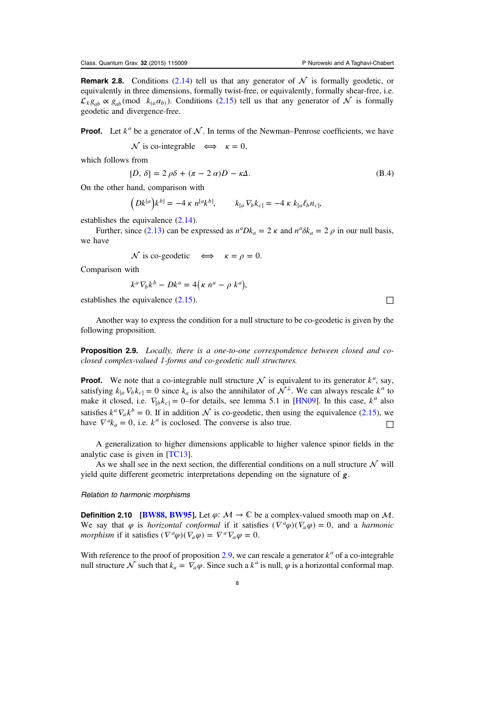**Remark 2.8.** Conditions [\(2.14\)](#page-7-0) tell us that any generator of  $N$  is formally geodetic, or equivalently in three dimensions, formally twist-free, or equivalently, formally shear-free, i.e.  $\mathcal{L}_k g_{ab} \propto g_{ab}$  (mod  $k_{(a} a_{b)}$ ). Conditions [\(2.15\)](#page-7-0) tell us that any generator of  $\mathcal{N}$  is formally geodetic and divergence-free.

**Proof.** Let  $k^a$  be a generator of  $N$ . In terms of the Newman–Penrose coefficients, we have

 $\mathcal N$  is co-integrable  $\iff$   $\kappa = 0$ ,

which follows from

$$
[D, \delta] = 2 \rho \delta + (\pi - 2 \alpha)D - \kappa \Delta. \tag{B.4}
$$

On the other hand, comparison with

 $\left( Dk^{[a]}k^{b]} = -4 \kappa n^{[a}k^{b]}, \right. \qquad k_{[a} \nabla_b k_{c]} = -4 \kappa k_{[a} \ell_b n_{c]},$ 

establishes the equivalence  $(2.14)$  $(2.14)$  $(2.14)$ .

Further, since [\(2.13\)](#page-7-0) can be expressed as  $n^a Dk_a = 2 \kappa$  and  $n^a \delta k_a = 2 \rho$  in our null basis, we have

 $\mathcal N$  is co-geodetic  $\iff$   $\kappa = \rho = 0$ .

Comparison with

$$
k^a \nabla_b k^b - D k^a = 4(\kappa n^a - \rho k^a),
$$

establishes the equivalence  $(2.15)$  $(2.15)$  $(2.15)$ .

Another way to express the condition for a null structure to be co-geodetic is given by the following proposition.

**Proposition 2.9.** Locally, there is a one-to-one correspondence between closed and coclosed complex-valued 1-forms and co-geodetic null structures.

**Proof.** We note that a co-integrable null structure  $\mathcal N$  is equivalent to its generator  $k^a$ , say, satisfying  $k_{a} \nabla_{b} k_{c} = 0$  since  $k_{a}$  is also the annihilator of  $\mathcal{N}^{\perp}$ . We can always rescale  $k^{a}$  to make it closed, i.e.  $\nabla_{b} k_{c} = 0$ -for details, see lemma 5.1 in [[HN09](#page-35-0)]. In this case,  $k^{a}$  also satisfies  $k^a \nabla_a k^b = 0$ . If in addition  $\mathcal N$  is co-geodetic, then using the equivalence [\(2.15\)](#page-7-0), we have  $\nabla^a k_a = 0$ , i.e.  $k^a$  is coclosed. The converse is also true.

A generalization to higher dimensions applicable to higher valence spinor fields in the analytic case is given in [[TC13](#page-36-0)].

As we shall see in the next section, the differential conditions on a null structure  $\mathcal N$  will yield quite different geometric interpretations depending on the signature of *g*.

#### Relation to harmonic morphisms

**Definition 2.10** [\[BW88](#page-35-0), [BW95](#page-35-0)]. Let  $\varphi$ :  $\mathcal{M} \to \mathbb{C}$  be a complex-valued smooth map on  $\mathcal{M}$ . We say that  $\varphi$  is *horizontal conformal* if it satisfies  $(\nabla^a \varphi)(\nabla_a \varphi) = 0$ , and a *harmonic morphism* if it satisfies  $(\nabla^a \varphi)(\nabla_a \varphi) = \nabla^a \nabla_a \varphi = 0.$ 

With reference to the proof of proposition 2.9, we can rescale a generator  $k^a$  of a co-integrable null structure  $\mathcal N$  such that  $k_a = \nabla_a \varphi$ . Since such a  $k^a$  is null,  $\varphi$  is a horizontal conformal map.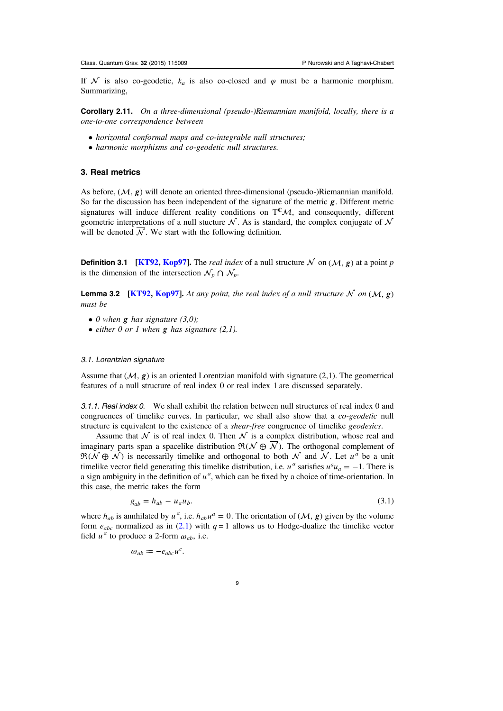<span id="page-9-0"></span>If N is also co-geodetic,  $k_a$  is also co-closed and  $\varphi$  must be a harmonic morphism. Summarizing,

**Corollary 2.11.** On a three-dimensional (pseudo-)Riemannian manifold, locally, there is a one-to-one correspondence between

- horizontal conformal maps and co-integrable null structures;
- harmonic morphisms and co-geodetic null structures.

### 3. Real metrics

As before,  $(M, g)$  will denote an oriented three-dimensional (pseudo-)Riemannian manifold. So far the discussion has been independent of the signature of the metric *g*. Different metric signatures will induce different reality conditions on  $T^{c}\mathcal{M}$ , and consequently, different geometric interpretations of a null stucture  $N$ . As is standard, the complex conjugate of  $N$ will be denoted  $\overline{\mathcal{N}}$ . We start with the following definition.

**Definition 3.1** [\[KT92,](#page-35-0) [Kop97\]](#page-35-0). The *real index* of a null structure  $\mathcal N$  on  $(\mathcal M, g)$  at a point p is the dimension of the intersection  $\mathcal{N}_p \cap \overline{\mathcal{N}}_p$ .

**Lemma 3.2** [\[KT92](#page-35-0), [Kop97](#page-35-0)]. At any point, the real index of a null structure  $N$  on  $(M, g)$ must be

- 0 when  $g$  has signature  $(3,0)$ ;
- either 0 or 1 when *g* has signature (2,1).

#### 3.1. Lorentzian signature

Assume that  $(\mathcal{M}, g)$  is an oriented Lorentzian manifold with signature (2,1). The geometrical features of a null structure of real index 0 or real index 1 are discussed separately.

3.1.1. Real index 0. We shall exhibit the relation between null structures of real index 0 and congruences of timelike curves. In particular, we shall also show that a *co-geodetic* null structure is equivalent to the existence of a *shear-free* congruence of timelike *geodesics*.

Assume that  $\mathcal N$  is of real index 0. Then  $\mathcal N$  is a complex distribution, whose real and imaginary parts span a spacelike distribution  $\mathfrak{R}(\mathcal{N} \oplus \overline{\mathcal{N}})$ . The orthogonal complement of  $\mathfrak{R}(\mathcal{N} \oplus \overline{\mathcal{N}})$  is necessarily timelike and orthogonal to both  $\mathcal{N}$  and  $\overline{\mathcal{N}}$ . Let  $u^a$  be a unit timelike vector field generating this timelike distribution, i.e.  $u^a$  satisfies  $u^a u_a = -1$ . There is a sign ambiguity in the definition of  $u^a$ , which can be fixed by a choice of time-orientation. In this case, the metric takes the form

$$
g_{ab} = h_{ab} - u_a u_b. \tag{3.1}
$$

where  $h_{ab}$  is annhilated by  $u^a$ , i.e.  $h_{ab}u^a = 0$ . The orientation of  $(M, g)$  given by the volume form  $e_{abc}$  normalized as in [\(2.1\)](#page-4-0) with  $q = 1$  allows us to Hodge-dualize the timelike vector field  $u^a$  to produce a 2-form  $\omega_{ab}$ , i.e.

$$
\omega_{ab} := -e_{abc}u^c.
$$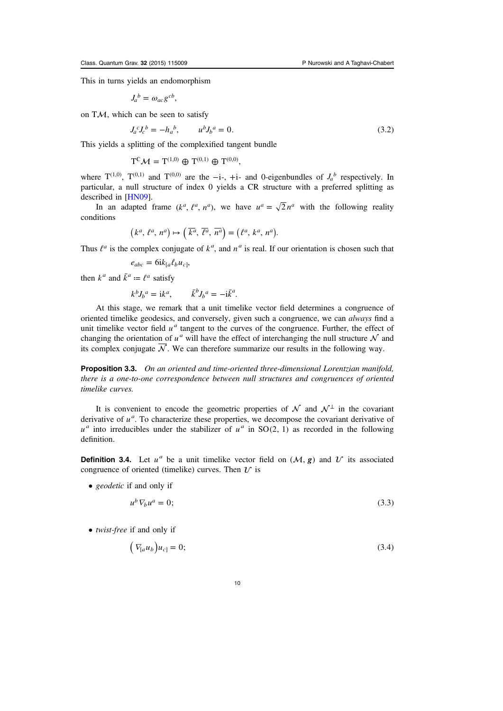This in turns yields an endomorphism

$$
J_a{}^b = \omega_{ac} g^{cb},
$$

on  $T\mathcal{M}$ , which can be seen to satisfy

 $J_a^c J_c^b = -h_a^b$ ,  $u^b J_b^a = 0$ . (3.2)

This yields a splitting of the complexified tangent bundle

 $T^{\mathbb{C}}\mathcal{M}=T^{(1,0)}\oplus T^{(0,1)}\oplus T^{(0,0)},$ 

where  $T^{(1,0)}$ ,  $T^{(0,1)}$  and  $T^{(0,0)}$  are the  $-i$ -, +i- and 0-eigenbundles of  $J_a^b$  respectively. In particular, a null structure of index 0 yields a CR structure with a preferred splitting as described in [[HN09](#page-35-0)].

In an adapted frame  $(k^a, \ell^a, n^a)$ , we have  $u^a = \sqrt{2} n^a$  with the following reality conditions

$$
(k^a, \ell^a, n^a) \mapsto (\overline{k^a}, \overline{\ell^a}, \overline{n^a}) = (\ell^a, k^a, n^a).
$$

Thus  $l^a$  is the complex conjugate of  $k^a$ , and  $n^a$  is real. If our orientation is chosen such that

$$
e_{abc} = 6ik_{[a}\ell_b u_{c]},
$$

then  $k^a$  and  $\bar{k}^a := \ell^a$  satisfy

$$
k^b J_b{}^a = \mathrm{i} k^a, \qquad \bar{k}^b J_b{}^a = -\mathrm{i} \bar{k}^a.
$$

At this stage, we remark that a unit timelike vector field determines a congruence of oriented timelike geodesics, and conversely, given such a congruence, we can always find a unit timelike vector field  $u<sup>a</sup>$  tangent to the curves of the congruence. Further, the effect of changing the orientation of  $u^a$  will have the effect of interchanging the null structure  $\mathcal N$  and its complex conjugate  $\overline{\mathcal{N}}$ . We can therefore summarize our results in the following way.

Proposition 3.3. On an oriented and time-oriented three-dimensional Lorentzian manifold, there is a one-to-one correspondence between null structures and congruences of oriented timelike curves.

It is convenient to encode the geometric properties of  $\mathcal N$  and  $\mathcal N^{\perp}$  in the covariant derivative of  $u^a$ . To characterize these properties, we decompose the covariant derivative of  $u^a$  into irreducibles under the stabilizer of  $u^a$  in SO(2, 1) as recorded in the following definition.

**Definition 3.4.** Let  $u^a$  be a unit timelike vector field on  $(M, g)$  and  $U$  its associated congruence of oriented (timelike) curves. Then  $\mathcal{U}$  is

• *geodetic* if and only if

$$
u^b \nabla_b u^a = 0; \tag{3.3}
$$

• *twist-free* if and only if  $\mathcal{L}$ 

$$
\left(\nabla_{[a}u_b\n\right)u_{c} = 0;\n\tag{3.4}
$$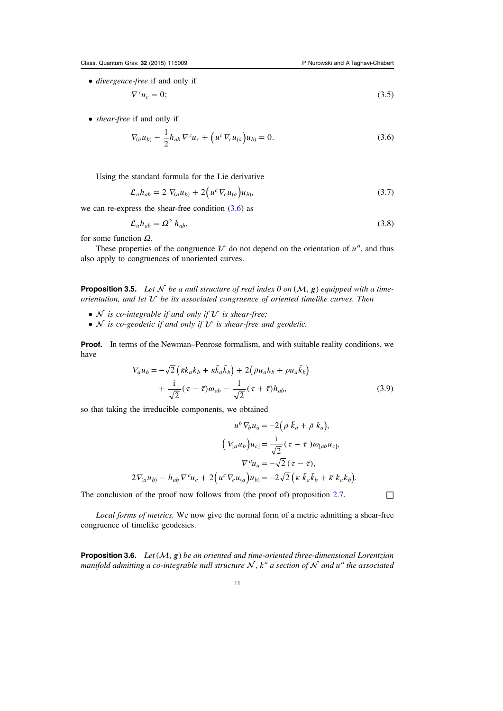<span id="page-11-0"></span>• divergence-free if and only if

$$
\nabla^c u_c = 0; \tag{3.5}
$$

• shear-free if and only if

$$
\nabla_{(a}u_{b)} - \frac{1}{2}h_{ab}\nabla^c u_c + \left(u^c\nabla_c u_{(a)}\right)u_{b} = 0.
$$
\n(3.6)

Using the standard formula for the Lie derivative

$$
\mathcal{L}_u h_{ab} = 2 \nabla_{(a} u_{b)} + 2 \Big( u^c \nabla_c u_{(a)} \Big) u_{b}, \tag{3.7}
$$

we can re-express the shear-free condition  $(3.6)$  as

$$
\mathcal{L}_u h_{ab} = \Omega^2 h_{ab},\tag{3.8}
$$

for some function  $\Omega$ .

These properties of the congruence  $\mathcal U$  do not depend on the orientation of  $u^a$ , and thus also apply to congruences of unoriented curves.

**Proposition 3.5.** Let  $\mathcal N$  be a null structure of real index 0 on  $(\mathcal M, g)$  equipped with a timeorientation, and let  $U$  be its associated congruence of oriented timelike curves. Then

- $N$  is co-integrable if and only if  $U$  is shear-free;
- $N$  is co-geodetic if and only if  $U$  is shear-free and geodetic.

Proof. In terms of the Newman–Penrose formalism, and with suitable reality conditions, we have

$$
\nabla_a u_b = -\sqrt{2} \left( \bar{\kappa} k_a k_b + \kappa \bar{k}_a \bar{k}_b \right) + 2 \left( \bar{\rho} u_a k_b + \rho u_a \bar{k}_b \right) \n+ \frac{i}{\sqrt{2}} (\tau - \bar{\tau}) \omega_{ab} - \frac{1}{\sqrt{2}} (\tau + \bar{\tau}) h_{ab},
$$
\n(3.9)

so that taking the irreducible components, we obtained

$$
u^b V_b u_a = -2(\rho \bar{k}_a + \bar{\rho} k_a),
$$

$$
(\nabla_{[a} u_b) u_{c]} = \frac{i}{\sqrt{2}} (\tau - \bar{\tau}) \omega_{[ab} u_{c]},
$$

$$
\nabla^a u_a = -\sqrt{2} (\tau - \bar{\tau}),
$$

$$
2\nabla_{(a} u_{b)} - h_{ab} \nabla^c u_c + 2(u^c \nabla_c u_{(a)}) u_{b} = -2\sqrt{2} (\kappa \bar{k}_a \bar{k}_b + \bar{\kappa} k_a k_b).
$$

The conclusion of the proof now follows from (the proof of) proposition [2.7.](#page-7-0)  $\Box$ 

Local forms of metrics. We now give the normal form of a metric admitting a shear-free congruence of timelike geodesics.

**Proposition 3.6.** Let  $(M, g)$  be an oriented and time-oriented three-dimensional Lorentzian manifold admitting a co-integrable null structure  $N$ ,  $k^a$  a section of  $N$  and  $u^a$  the associated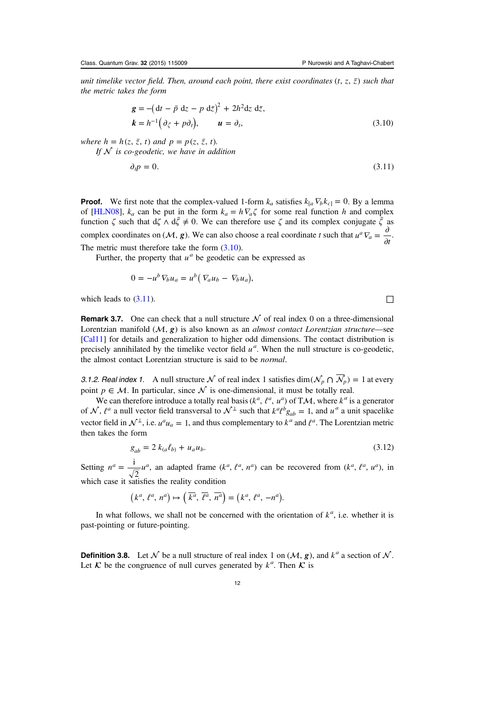<span id="page-12-0"></span>unit timelike vector field. Then, around each point, there exist coordinates  $(t, z, \bar{z})$  such that the metric takes the form

$$
\mathbf{g} = -(\mathrm{d}t - \bar{p} \mathrm{d}z - p \mathrm{d}\bar{z})^2 + 2h^2 \mathrm{d}z \mathrm{d}\bar{z},
$$
  
\n
$$
\mathbf{k} = h^{-1}(\partial_{\bar{\zeta}} + p\partial_t), \qquad \mathbf{u} = \partial_t,
$$
 (3.10)

where  $h = h(z, \overline{z}, t)$  and  $p = p(z, \overline{z}, t)$ . If  $N$  is co-geodetic, we have in addition

$$
\partial_t p = 0. \tag{3.11}
$$

**Proof.** We first note that the complex-valued 1-form  $k_a$  satisfies  $k_{[a} \nabla_b k_{c]} = 0$ . By a lemma of [\[HLN08](#page-35-0)],  $k_a$  can be put in the form  $k_a = h \nabla_a \zeta$  for some real function h and complex function  $\zeta$  such that  $d\zeta \wedge d\bar{\zeta} \neq 0$ . We can therefore use  $\zeta$  and its complex conjugate  $\bar{\zeta}$  as complex coordinates on  $(M, g)$ . We can also choose a real coordinate t such that  $u^a \nabla_a = \frac{\partial}{\partial t}$ . The metric must therefore take the form  $(3.10)$ .

Further, the property that  $u^a$  be geodetic can be expressed as

$$
0 = -u^b \nabla_b u_a = u^b \big( \nabla_a u_b - \nabla_b u_a \big),
$$

which leads to  $(3.11)$ .

**Remark 3.7.** One can check that a null structure  $N$  of real index 0 on a three-dimensional Lorentzian manifold  $(M, g)$  is also known as an *almost contact Lorentzian structure*—see [[Cal11\]](#page-35-0) for details and generalization to higher odd dimensions. The contact distribution is precisely annihilated by the timelike vector field  $u^a$ . When the null structure is co-geodetic, the almost contact Lorentzian structure is said to be normal.

3.1.2. Real index 1. A null structure  $\mathcal N$  of real index 1 satisfies dim $(\mathcal N_p \cap \overline{\mathcal N_p}) = 1$  at every point  $p \in \mathcal{M}$ . In particular, since  $\mathcal N$  is one-dimensional, it must be totally real.

We can therefore introduce a totally real basis ( $k^a$ ,  $\ell^a$ ,  $u^a$ ) of TM, where  $k^a$  is a generator of  $\mathcal{N}$ ,  $\ell^a$  a null vector field transversal to  $\mathcal{N}^{\perp}$  such that  $k^a \ell^b g_{ab} = 1$ , and  $u^a$  a unit spacelike vector field in  $\mathcal{N}^{\perp}$ , i.e.  $u^{a}u_{a} = 1$ , and thus complementary to  $k^{a}$  and  $l^{a}$ . The Lorentzian metric then takes the form

$$
g_{ab} = 2 k_{(a} \ell_{b)} + u_a u_b. \tag{3.12}
$$

Setting  $n^a = \frac{1}{\sqrt{a}} u$ 2  $a = \frac{1}{\sqrt{n}} u^a$ , an adapted frame  $(k^a, \ell^a, n^a)$  can be recovered from  $(k^a, \ell^a, n^a)$ , in which case it satisfies the reality condition

$$
\left(k^a, \, l^a, \, n^a\right) \mapsto \left(\,\overline{k^a}, \, \overline{\ell^a}, \, \overline{n^a}\right) = \left(k^a, \, l^a, \, -n^a\right).
$$

In what follows, we shall not be concerned with the orientation of  $k^a$ , i.e. whether it is past-pointing or future-pointing.

**Definition 3.8.** Let N be a null structure of real index 1 on  $(M, g)$ , and  $k^a$  a section of N. Let  $\mathcal K$  be the congruence of null curves generated by  $k^a$ . Then  $\mathcal K$  is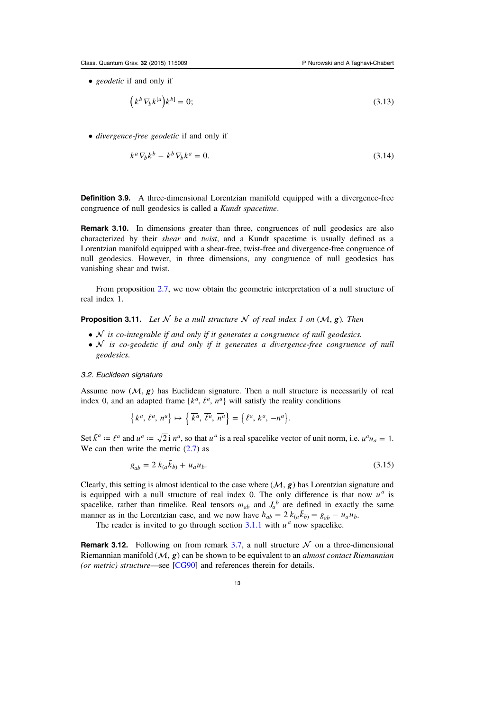<span id="page-13-0"></span>• *geodetic* if and only if

$$
(k^b \nabla_b k^{[a]}) k^{b]} = 0; \tag{3.13}
$$

• divergence-free geodetic if and only if

$$
k^a \nabla_b k^b - k^b \nabla_b k^a = 0. \tag{3.14}
$$

Definition 3.9. A three-dimensional Lorentzian manifold equipped with a divergence-free congruence of null geodesics is called a Kundt spacetime.

Remark 3.10. In dimensions greater than three, congruences of null geodesics are also characterized by their shear and twist, and a Kundt spacetime is usually defined as a Lorentzian manifold equipped with a shear-free, twist-free and divergence-free congruence of null geodesics. However, in three dimensions, any congruence of null geodesics has vanishing shear and twist.

From proposition [2.7](#page-7-0), we now obtain the geometric interpretation of a null structure of real index 1.

**Proposition 3.11.** Let  $\mathcal N$  be a null structure  $\mathcal N$  of real index 1 on  $(\mathcal M, \mathbf g)$ . Then

- $\mathcal N$  is co-integrable if and only if it generates a congruence of null geodesics.
- $N$  is co-geodetic if and only if it generates a divergence-free congruence of null geodesics.

## 3.2. Euclidean signature

Assume now  $(\mathcal{M}, g)$  has Euclidean signature. Then a null structure is necessarily of real index 0, and an adapted frame  ${k^a, \ell^a, n^a}$  will satisfy the reality conditions

$$
\{k^a, \ell^a, n^a\} \mapsto \{\overline{k^a}, \overline{\ell^a}, \overline{n^a}\} = \{\ell^a, k^a, -n^a\}.
$$

Set  $\bar{k}^a := \ell^a$  and  $u^a := \sqrt{2}i n^a$ , so that  $u^a$  is a real spacelike vector of unit norm, i.e.  $u^a u_a = 1$ . We can then write the metric  $(2.7)$  as

$$
g_{ab} = 2 k_{(a} \bar{k}_{b)} + u_a u_b. \tag{3.15}
$$

Clearly, this setting is almost identical to the case where  $(M, g)$  has Lorentzian signature and is equipped with a null structure of real index 0. The only difference is that now  $u^a$  is spacelike, rather than timelike. Real tensors  $\omega_{ab}$  and  $J_a^b$  are defined in exactly the same manner as in the Lorentzian case, and we now have  $h_{ab} = 2 k_{(a} \bar{k}_{b)} = g_{ab} - u_a u_b$ .

The reader is invited to go through section  $3.1.1$  with  $u^a$  now spacelike.

**Remark 3.12.** Following on from remark [3.7](#page-12-0), a null structure  $\mathcal N$  on a three-dimensional Riemannian manifold  $(M, g)$  can be shown to be equivalent to an *almost contact Riemannian* (or metric) structure—see [\[CG90](#page-35-0)] and references therein for details.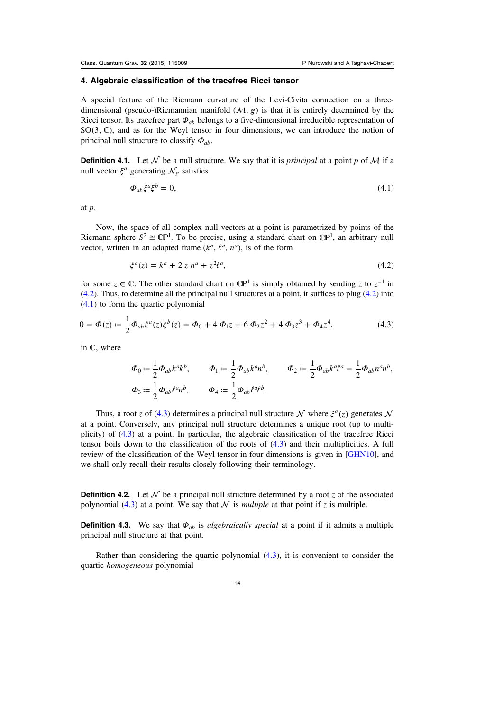## <span id="page-14-0"></span>4. Algebraic classification of the tracefree Ricci tensor

A special feature of the Riemann curvature of the Levi-Civita connection on a threedimensional (pseudo-)Riemannian manifold  $(\mathcal{M}, g)$  is that it is entirely determined by the Ricci tensor. Its tracefree part *Φab* belongs to a five-dimensional irreducible representation of  $SO(3, \mathbb{C})$ , and as for the Weyl tensor in four dimensions, we can introduce the notion of principal null structure to classify *Φab*.

**Definition 4.1.** Let  $\mathcal N$  be a null structure. We say that it is *principal* at a point p of  $\mathcal M$  if a null vector  $\xi^a$  generating  $\mathcal{N}_p$  satisfies

$$
\Phi_{ab}\xi^a\xi^b = 0,\tag{4.1}
$$

at p.

Now, the space of all complex null vectors at a point is parametrized by points of the Riemann sphere  $S^2 \cong \mathbb{CP}^1$ . To be precise, using a standard chart on  $\mathbb{CP}^1$ , an arbitrary null vector, written in an adapted frame  $(k^a, \ell^a, n^a)$ , is of the form

$$
\xi^a(z) = k^a + 2 z n^a + z^2 \ell^a,\tag{4.2}
$$

for some  $z \in \mathbb{C}$ . The other standard chart on  $\mathbb{CP}^1$  is simply obtained by sending z to  $z^{-1}$  in (4.2). Thus, to determine all the principal null structures at a point, it suffices to plug (4.2) into (4.1) to form the quartic polynomial

$$
0 = \Phi(z) \coloneqq \frac{1}{2} \Phi_{ab} \xi^a(z) \xi^b(z) = \Phi_0 + 4 \Phi_1 z + 6 \Phi_2 z^2 + 4 \Phi_3 z^3 + \Phi_4 z^4,\tag{4.3}
$$

in  $\mathbb{C}$ , where

$$
\begin{aligned} \varPhi_0&:=\frac{1}{2}\varPhi_{ab}k^ak^b,\qquad \varPhi_1:=\frac{1}{2}\varPhi_{ab}k^ah^b,\qquad \varPhi_2:=\frac{1}{2}\varPhi_{ab}k^a\ell^a=\frac{1}{2}\varPhi_{ab}n^an^b,\\ \varPhi_3&:=\frac{1}{2}\varPhi_{ab}\ell^an^b,\qquad \varPhi_4&:=\frac{1}{2}\varPhi_{ab}\ell^a\ell^b. \end{aligned}
$$

Thus, a root z of (4.3) determines a principal null structure  $\mathcal N$  where  $\xi^a(z)$  generates  $\mathcal N$ at a point. Conversely, any principal null structure determines a unique root (up to multiplicity) of (4.3) at a point. In particular, the algebraic classification of the tracefree Ricci tensor boils down to the classification of the roots of (4.3) and their multiplicities. A full review of the classification of the Weyl tensor in four dimensions is given in [[GHN10](#page-35-0)], and we shall only recall their results closely following their terminology.

**Definition 4.2.** Let  $\mathcal N$  be a principal null structure determined by a root z of the associated polynomial (4.3) at a point. We say that  $\mathcal N$  is *multiple* at that point if z is multiple.

**Definition 4.3.** We say that  $\Phi_{ab}$  is *algebraically special* at a point if it admits a multiple principal null structure at that point.

Rather than considering the quartic polynomial (4.3), it is convenient to consider the quartic homogeneous polynomial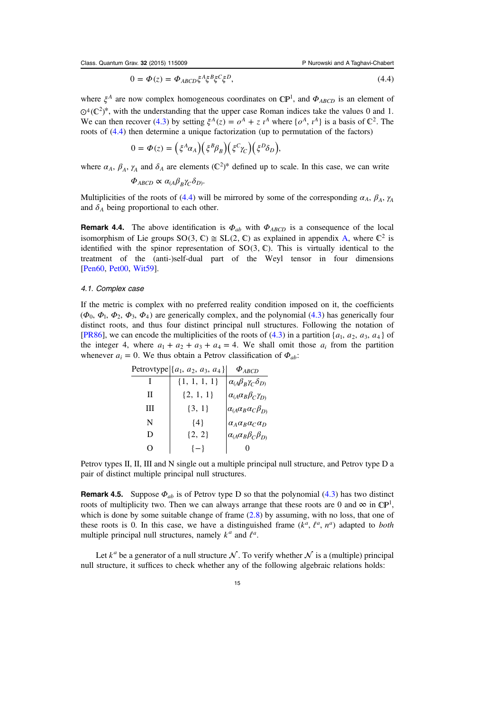$$
0 = \Phi(z) = \Phi_{ABCD} \xi^A \xi^B \xi^C \xi^D, \tag{4.4}
$$

<span id="page-15-0"></span>where  $\xi^A$  are now complex homogeneous coordinates on  $\mathbb{CP}^1$ , and  $\Phi_{ABCD}$  is an element of  $\mathcal{O}^4(\mathbb{C}^2)^*$ , with the understanding that the upper case Roman indices take the values 0 and 1. We can then recover ([4.3](#page-14-0)) by setting  $\xi^A(z) = o^A + z^A$  where  $\{o^A, i^A\}$  is a basis of  $\mathbb{C}^2$ . The roots of [\(4.4\)](#page-14-0) then determine a unique factorization (up to permutation of the factors)

$$
0 = \Phi(z) = \left(\xi^A \alpha_A\right) \left(\xi^B \beta_B\right) \left(\xi^C \gamma_C\right) \left(\xi^D \delta_D\right),
$$

where  $\alpha_A$ ,  $\beta_A$ ,  $\gamma_A$  and  $\delta_A$  are elements ( $\mathbb{C}^2$ )\* defined up to scale. In this case, we can write

$$
\Phi_{ABCD} \propto \alpha_{(A}\beta_B\gamma_C\delta_{D)}.
$$

Multiplicities of the roots of ([4.4](#page-14-0)) will be mirrored by some of the corresponding  $\alpha_A$ ,  $\beta_A$ ,  $\gamma_A$ and  $\delta_A$  being proportional to each other.

**Remark 4.4.** The above identification is  $\Phi_{ab}$  with  $\Phi_{ABCD}$  is a consequence of the local isomorphism of Lie groups SO(3,  $\mathbb{C}$ )  $\cong$  SL(2,  $\mathbb{C}$ ) as explained in appendix [A](#page-25-0), where  $\mathbb{C}^2$  is identified with the spinor representation of  $SO(3, \mathbb{C})$ . This is virtually identical to the treatment of the (anti-)self-dual part of the Weyl tensor in four dimensions [[Pen60,](#page-36-0) [Pet00,](#page-36-0) [Wit59](#page-36-0)].

#### 4.1. Complex case

If the metric is complex with no preferred reality condition imposed on it, the coefficients  $(\Phi_0, \Phi_1, \Phi_2, \Phi_3, \Phi_4)$  are generically complex, and the polynomial [\(4.3\)](#page-14-0) has generically four distinct roots, and thus four distinct principal null structures. Following the notation of [[PR86\]](#page-36-0), we can encode the multiplicities of the roots of  $(4.3)$  $(4.3)$  $(4.3)$  in a partition  $\{a_1, a_2, a_3, a_4\}$  of the integer 4, where  $a_1 + a_2 + a_3 + a_4 = 4$ . We shall omit those  $a_i$  from the partition whenever  $a_i = 0$ . We thus obtain a Petrov classification of  $\Phi_{ab}$ :

|   | Petrovtype $\{a_1, a_2, a_3, a_4\}$ | $\Phi_{ABCD}$                               |
|---|-------------------------------------|---------------------------------------------|
|   | $\{1, 1, 1, 1\}$                    | $\alpha_{(A}\beta_{B}\gamma_{C}\delta_{D)}$ |
| Н | $\{2, 1, 1\}$                       | $\alpha_{(A}\alpha_B\beta_C\gamma_{D)}$     |
| Ш | $\{3, 1\}$                          | $\alpha_{(A}\alpha_{B}\alpha_{C}\beta_{D)}$ |
| N | ${4}$                               | $\alpha_A \alpha_B \alpha_C \alpha_D$       |
| Ð | $\{2, 2\}$                          | $\alpha_{(A}\alpha_B\beta_C\beta_{D)}$      |
| 0 | $\{-\}$                             |                                             |

Petrov types II, II, III and N single out a multiple principal null structure, and Petrov type D a pair of distinct multiple principal null structures.

**Remark 4.5.** Suppose  $\Phi_{ab}$  is of Petrov type D so that the polynomial ([4.3](#page-14-0)) has two distinct roots of multiplicity two. Then we can always arrange that these roots are 0 and  $\infty$  in  $\mathbb{CP}^1$ , which is done by some suitable change of frame  $(2.8)$  by assuming, with no loss, that one of these roots is 0. In this case, we have a distinguished frame  $(k^a, \ell^a, n^a)$  adapted to *both* multiple principal null structures, namely  $k^a$  and  $l^a$ .

Let  $k^a$  be a generator of a null structure  $\mathcal N$ . To verify whether  $\mathcal N$  is a (multiple) principal null structure, it suffices to check whether any of the following algebraic relations holds: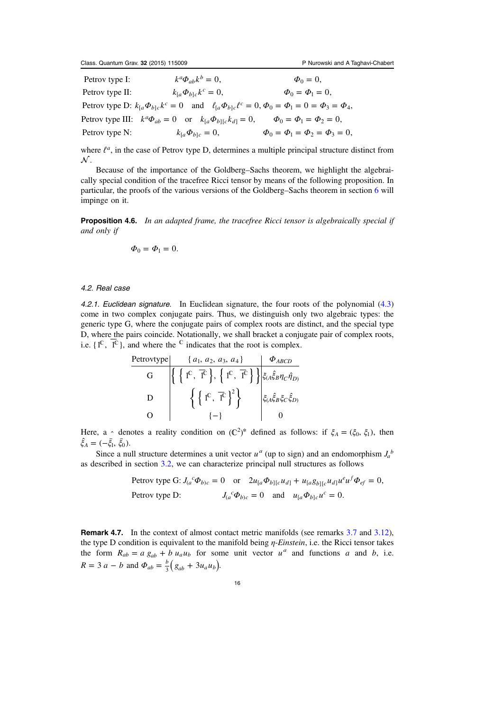<span id="page-16-0"></span>Petrov type I:  $k^a \Phi_{ab} k^b = 0$ ,  $\Phi_0 = 0$ , Petrov type II:  $k_{[a}\Phi_{b]c}k^c = 0,$   $\Phi_0 = \Phi_1 = 0,$ *Petrov type D:*  $k_{[a} \Phi_{b]c} k^c = 0$  and  $\ell_{[a} \Phi_{b]c} \ell^c = 0$ ,  $\Phi_0 = \Phi_1 = 0 = \Phi_3 = \Phi_4$ , Petrov type III:  $k^a \Phi_{ab} = 0$  or  $k_{[a} \Phi_{b][c} k_{d]} = 0$ ,  $\Phi_0 = \Phi_1 = \Phi_2 = 0$ , Petrov type N:  $k_{[a} \Phi_{b]c} = 0,$   $\Phi_0 = \Phi_1 = \Phi_2 = \Phi_3 = 0,$  $= 0,$   $\Phi_0 =$  $k_{[a}\Phi_{b]c}k^c$  $k_{[a}\mathbf{\Phi}_{b]c}$ 

where *ℓ<sup>a</sup>*, in the case of Petrov type D, determines a multiple principal structure distinct from  $\mathcal{N}.$ 

Because of the importance of the Goldberg–Sachs theorem, we highlight the algebraically special condition of the tracefree Ricci tensor by means of the following proposition. In particular, the proofs of the various versions of the Goldberg–Sachs theorem in section [6](#page-18-0) will impinge on it.

**Proposition 4.6.** In an adapted frame, the tracefree Ricci tensor is algebraically special if and only if

$$
\Phi_0=\Phi_1=0.
$$

## 4.2. Real case

4.2.1. Euclidean signature. In Euclidean signature, the four roots of the polynomial ([4.3](#page-14-0)) come in two complex conjugate pairs. Thus, we distinguish only two algebraic types: the generic type G, where the conjugate pairs of complex roots are distinct, and the special type D, where the pairs coincide. Notationally, we shall bracket a conjugate pair of complex roots, i.e.  $\{1^{\mathbb{C}}, \overline{1^{\mathbb{C}}}\}$ , and where the  $^{\mathbb{C}}$  indicates that the root is complex.

$$
\begin{array}{c|c}\n\text{Petrovtype} & \{a_1, a_2, a_3, a_4\} & \Phi_{ABCD} \\
\hline\nG & \left\{ \left\{ \begin{bmatrix} 1^{\mathbb{C}}, \ \overline{1}^{\mathbb{C}} \end{bmatrix}, \left\{ \begin{bmatrix} 1^{\mathbb{C}}, \ \overline{1}^{\mathbb{C}} \end{bmatrix} \right\} \right\} \xi_{(A}\hat{\xi}_{B}\eta_{C}\hat{\eta}_{D)} \\
D & \left\{ \left\{ \begin{bmatrix} 1^{\mathbb{C}}, \ \overline{1}^{\mathbb{C}} \end{bmatrix}^2 \right\} & \xi_{(A}\hat{\xi}_{B}\xi_{C}\hat{\xi}_{D)} \\
0\n\end{array} \right\}\n\end{array}
$$

Here, a  $\sim$  denotes a reality condition on  $({\mathbb C}^2)^*$  defined as follows: if  $\xi_A = (\xi_0, \xi_1)$ , then  $\hat{\xi}_A = (-\bar{\xi}_1, \bar{\xi}_0).$ 

Since a null structure determines a unit vector  $u^a$  (up to sign) and an endomorphism  $J_a^b$ as described in section [3.2,](#page-13-0) we can characterize principal null structures as follows

Petrov type G: 
$$
J_{(a}{}^c \Phi_{b)c} = 0
$$
 or  $2u_{[a} \Phi_{b][c} u_{d]} + u_{[a} g_{b][c} u_{d]} u^e u^f \Phi_{ef} = 0$ ,  
Petrov type D:  $J_{(a}{}^c \Phi_{b)c} = 0$  and  $u_{[a} \Phi_{b]c} u^c = 0$ .

Remark 4.7. In the context of almost contact metric manifolds (see remarks [3.7](#page-12-0) and [3.12\)](#page-13-0), the type D condition is equivalent to the manifold being  $\eta$ -Einstein, i.e. the Ricci tensor takes the form  $R_{ab} = a g_{ab} + b u_a u_b$  for some unit vector  $u^a$  and functions a and b, i.e.  $R = 3 a - b$  and  $\Phi_{ab} = \frac{b}{3} (g_{ab} + 3 u_a u_b)$ .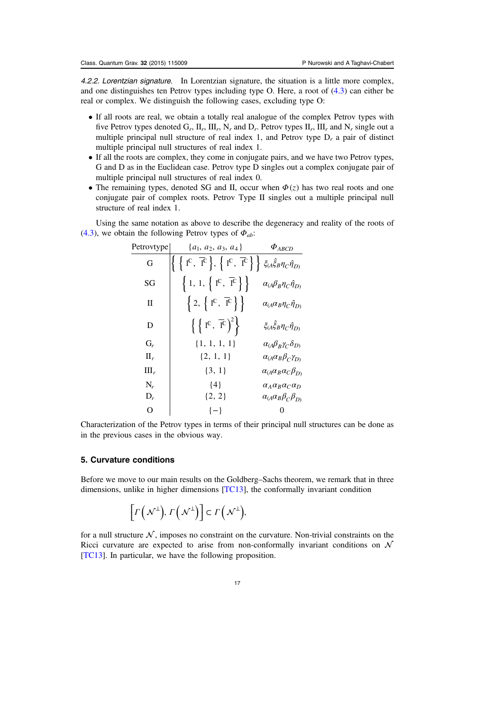<span id="page-17-0"></span>4.2.2. Lorentzian signature. In Lorentzian signature, the situation is a little more complex, and one distinguishes ten Petrov types including type O. Here, a root of [\(4.3\)](#page-14-0) can either be real or complex. We distinguish the following cases, excluding type O:

- If all roots are real, we obtain a totally real analogue of the complex Petrov types with five Petrov types denoted  $G_r$ ,  $\prod_r$ ,  $\prod_r$ ,  $N_r$  and  $D_r$ . Petrov types  $\prod_r$ ,  $\prod_r$  and  $N_r$  single out a multiple principal null structure of real index 1, and Petrov type  $D_r$  a pair of distinct multiple principal null structures of real index 1.
- If all the roots are complex, they come in conjugate pairs, and we have two Petrov types, G and D as in the Euclidean case. Petrov type D singles out a complex conjugate pair of multiple principal null structures of real index 0.
- The remaining types, denoted SG and II, occur when  $\Phi(z)$  has two real roots and one conjugate pair of complex roots. Petrov Type II singles out a multiple principal null structure of real index 1.

Using the same notation as above to describe the degeneracy and reality of the roots of ([4.3](#page-14-0)), we obtain the following Petrov types of *Φab*:

| Petrovtype | $\{a_1, a_2, a_3, a_4\}$                                                                                                                                                                      | $\Phi_{ABCD}$                                  |
|------------|-----------------------------------------------------------------------------------------------------------------------------------------------------------------------------------------------|------------------------------------------------|
| G          | $\left\{\left.\right. \left\{\right. 1^{\mathbb{C}},\left.\overline{1}^{\mathbb{C}}\right.\right\},\left.\left\{\right.1^{\mathbb{C}},\left.\overline{1}^{\mathbb{C}}\right.\right\}\right\}$ | $\xi_{(A}\xi_{B}\eta_{C}\hat{\eta}_{D)}$       |
| SG         | $\left\{ 1, 1, \left\{ 1^{\mathbb{C}}, \overline{1}^{\mathbb{C}} \right\} \right\}$                                                                                                           | $\alpha_{(A}\beta_{B}\eta_{C}\hat{\eta}_{D)}$  |
| П          | $\left\{2,\ \left\{\right.1^{\mathbb{C}},\ \overline{1}^{\mathbb{C}}\right\}\right\}$                                                                                                         | $\alpha_{(A}\alpha_{B}\eta_{C}\hat{\eta}_{D)}$ |
| D          | $\left\{\left\{ \begin{array}{c} \left\{ 1^{\mathbb{C}},\ \overline{1}^{\mathbb{C}} \right\} ^{2} \right\} \end{array}\right.$                                                                | $\xi_{(A}\hat{\xi}_{B}\eta_{C}\hat{\eta}_{D)}$ |
| $G_r$      | $\{1, 1, 1, 1\}$                                                                                                                                                                              | $\alpha_{(A}\beta_{B}\gamma_{C}\delta_{D)}$    |
| $\prod_r$  | $\{2, 1, 1\}$                                                                                                                                                                                 | $\alpha_{(A}\alpha_{B}\beta_{C}\gamma_{D)}$    |
| Ш,         | $\{3, 1\}$                                                                                                                                                                                    | $\alpha_{(A}\alpha_{B}\alpha_{C}\beta_{D)}$    |
| $N_r$      | ${4}$                                                                                                                                                                                         | $\alpha_A \alpha_B \alpha_C \alpha_D$          |
| $D_r$      | $\{2, 2\}$                                                                                                                                                                                    | $\alpha_{(A}\alpha_B\beta_C\beta_{D)}$         |
| О          | $\{-\}$                                                                                                                                                                                       |                                                |

Characterization of the Petrov types in terms of their principal null structures can be done as in the previous cases in the obvious way.

## 5. Curvature conditions

Before we move to our main results on the Goldberg–Sachs theorem, we remark that in three dimensions, unlike in higher dimensions [[TC13](#page-36-0)], the conformally invariant condition

$$
\left[\Gamma\left(\mathcal{N}^{\perp}\right),\Gamma\left(\mathcal{N}^{\perp}\right)\right] \subset \Gamma\left(\mathcal{N}^{\perp}\right),
$$

for a null structure  $\mathcal N$ , imposes no constraint on the curvature. Non-trivial constraints on the Ricci curvature are expected to arise from non-conformally invariant conditions on  $\mathcal N$ [[TC13](#page-36-0)]. In particular, we have the following proposition.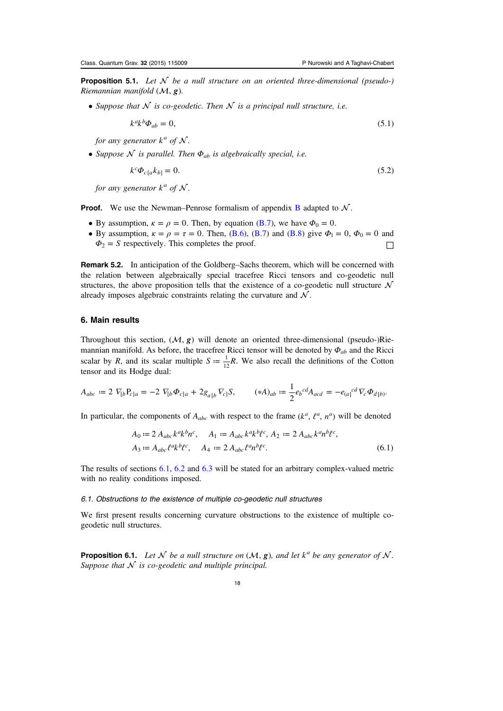<span id="page-18-0"></span>**Proposition 5.1.** Let  $\mathcal N$  be a null structure on an oriented three-dimensional (pseudo-) Riemannian manifold  $(M, g)$ .

• Suppose that  $N$  is co-geodetic. Then  $N$  is a principal null structure, i.e.

$$
k^a k^b \Phi_{ab} = 0,\tag{5.1}
$$

for any generator  $k^a$  of  $N$ .

• Suppose  $\mathcal N$  is parallel. Then  $\Phi_{ab}$  is algebraically special, i.e.

$$
k^c \Phi_{c[a} k_{b]} = 0. \tag{5.2}
$$

for any generator  $k^a$  of  $N$ .

**Proof.** We use the Newman–Penrose formalism of appendix **[B](#page-27-0)** adapted to  $N$ .

- By assumption,  $\kappa = \rho = 0$ . Then, by equation ([B.7\)](#page-29-0), we have  $\Phi_0 = 0$ .
- By assumption,  $\kappa = \rho = \tau = 0$ . Then, ([B.6\)](#page-29-0), [\(B.7](#page-29-0)) and [\(B.8](#page-29-0)) give  $\Phi_1 = 0$ ,  $\Phi_0 = 0$  and  $\Phi_2 = S$  respectively. This completes the proof. □

Remark 5.2. In anticipation of the Goldberg–Sachs theorem, which will be concerned with the relation between algebraically special tracefree Ricci tensors and co-geodetic null structures, the above proposition tells that the existence of a co-geodetic null structure  $\mathcal N$ already imposes algebraic constraints relating the curvature and  $\mathcal N$ .

## 6. Main results

Throughout this section,  $(M, g)$  will denote an oriented three-dimensional (pseudo-)Riemannian manifold. As before, the tracefree Ricci tensor will be denoted by *Φab* and the Ricci scalar by R, and its scalar multiple  $S = \frac{1}{12}R$ . We also recall the definitions of the Cotton tensor and its Hodge dual:

$$
A_{abc} := 2 \ \nabla_{[b} P_{c]a} = -2 \ \nabla_{[b} \Phi_{c]a} + 2g_{a[b} \ \nabla_{c]} S, \qquad (*)_{ab} := \frac{1}{2} e_b{}^{cd} A_{acd} = -e_{(a)}{}^{cd} \ \nabla_{c} \Phi_{d|b)}.
$$

In particular, the components of  $A_{abc}$  with respect to the frame  $(k^a, \ell^a, n^a)$  will be denoted

$$
A_0 := 2 A_{abc} k^a k^b n^c, \quad A_1 := A_{abc} k^a k^b \ell^c, \quad A_2 := 2 A_{abc} k^a n^b \ell^c,
$$
  

$$
A_3 := A_{abc} \ell^a k^b \ell^c, \quad A_4 := 2 A_{abc} \ell^a n^b \ell^c.
$$
 (6.1)

The results of sections 6.1, [6.2](#page-20-0) and [6.3](#page-21-0) will be stated for an arbitrary complex-valued metric with no reality conditions imposed.

#### 6.1. Obstructions to the existence of multiple co-geodetic null structures

We first present results concerning curvature obstructions to the existence of multiple cogeodetic null structures.

**Proposition 6.1.** Let  $\mathcal N$  be a null structure on  $(\mathcal M, \mathbf{g})$ , and let  $k^a$  be any generator of  $\mathcal N$ . Suppose that  $N$  is co-geodetic and multiple principal.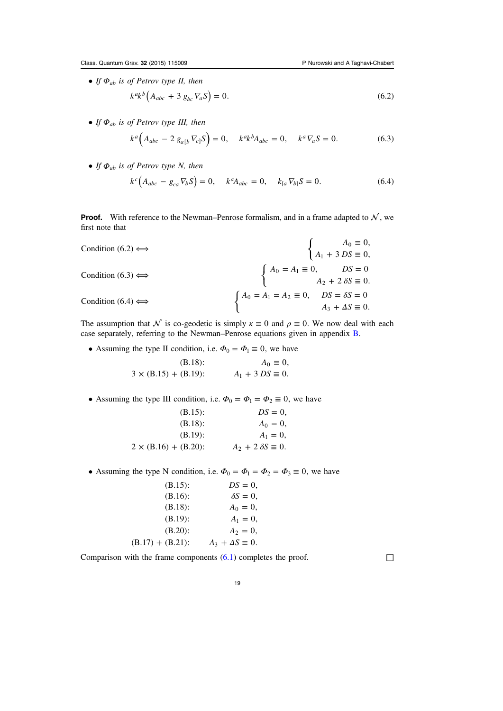<span id="page-19-0"></span>• If *Φab* is of Petrov type II, then

 $k^{a}k^{b}(A_{abc} + 3 g_{bc} \nabla_a S) = 0.$  (6.2)

• If *Φab* is of Petrov type III, then

$$
k^{a} \left( A_{abc} - 2 g_{a[b} \nabla_{c]} S \right) = 0, \quad k^{a} k^{b} A_{abc} = 0, \quad k^{a} \nabla_{a} S = 0. \tag{6.3}
$$

• If *Φab* is of Petrov type N, then

$$
k^{c}(A_{abc} - g_{ca}\nabla_{b}S) = 0, \quad k^{a}A_{abc} = 0, \quad k_{[a}\nabla_{b]}S = 0.
$$
 (6.4)

**Proof.** With reference to the Newman–Penrose formalism, and in a frame adapted to  $N$ , we first note that

Condition (6.2) 
$$
\Longleftrightarrow
$$

\n
$$
\begin{cases}\nA_0 \equiv 0, \\
A_1 + 3DS \equiv 0, \\
A_2 + 2\delta S \equiv 0.\n\end{cases}
$$
\nCondition (6.3)  $\Longleftrightarrow$ 

\n
$$
\begin{cases}\nA_0 = A_1 \equiv 0, \quad DS = 0 \\
A_2 + 2\delta S \equiv 0.\n\end{cases}
$$
\nCondition (6.4)  $\Longleftrightarrow$ 

\n
$$
\begin{cases}\nA_0 = A_1 = A_2 \equiv 0, \quad DS = \delta S = 0 \\
A_3 + \Delta S \equiv 0.\n\end{cases}
$$

The assumption that  $\mathcal N$  is co-geodetic is simply  $\kappa \equiv 0$  and  $\rho \equiv 0$ . We now deal with each case separately, referring to the Newman–Penrose equations given in appendix [B.](#page-27-0)

• Assuming the type II condition, i.e.  $\Phi_0 = \Phi_1 \equiv 0$ , we have

(B.18): 
$$
A_0 \equiv 0
$$
,  
  $3 \times (B.15) + (B.19)$ :  $A_1 + 3 DS \equiv 0$ .

• Assuming the type III condition, i.e.  $\Phi_0 = \Phi_1 = \Phi_2 \equiv 0$ , we have

| $(B.15)$ :                   | $DS = 0$ .                   |
|------------------------------|------------------------------|
| $(B.18)$ :                   | $A_0 = 0$ ,                  |
| $(B.19)$ :                   | $A_1 = 0$ ,                  |
| $2 \times (B.16) + (B.20)$ : | $A_2 + 2 \delta S \equiv 0.$ |

• Assuming the type N condition, i.e.  $\Phi_0 = \Phi_1 = \Phi_2 = \Phi_3 \equiv 0$ , we have

| $(B.15)$ :          | $DS = 0$ ,                 |
|---------------------|----------------------------|
| $(B.16)$ :          | $\delta S = 0$ ,           |
| $(B.18)$ :          | $A_0 = 0$ ,                |
| $(B.19)$ :          | $A_1 = 0,$                 |
| $(B.20)$ :          | $A_2 = 0$ ,                |
| $(B.17) + (B.21)$ : | $A_3 + \Delta S \equiv 0.$ |

Comparison with the frame components  $(6.1)$  $(6.1)$  $(6.1)$  completes the proof.  $\Box$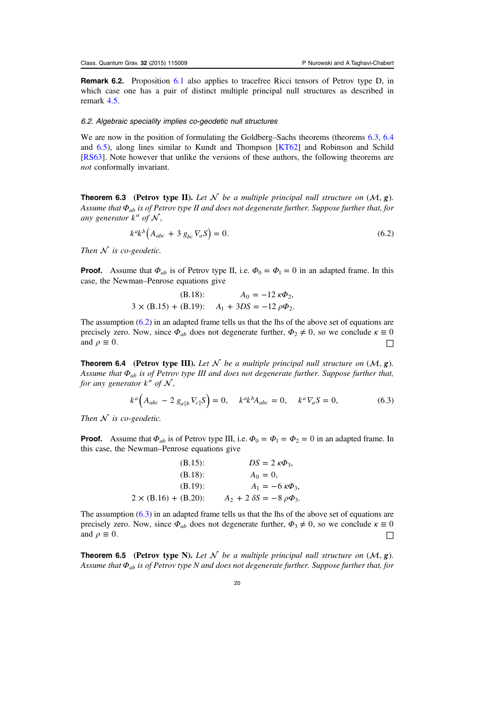<span id="page-20-0"></span>Remark 6.2. Proposition [6.1](#page-18-0) also applies to tracefree Ricci tensors of Petrov type D, in which case one has a pair of distinct multiple principal null structures as described in remark [4.5](#page-15-0).

#### 6.2. Algebraic speciality implies co-geodetic null structures

We are now in the position of formulating the Goldberg–Sachs theorems (theorems 6.3, 6.4) and 6.5), along lines similar to Kundt and Thompson [[KT62\]](#page-35-0) and Robinson and Schild [[RS63\]](#page-36-0). Note however that unlike the versions of these authors, the following theorems are not conformally invariant.

**Theorem 6.3** (Petrov type II). Let  $\mathcal N$  be a multiple principal null structure on  $(\mathcal M, g)$ . Assume that *Φab* is of Petrov type II and does not degenerate further. Suppose further that, for any generator  $k^a$  of  $\mathcal N$ ,

$$
k^{akb} \left( A_{abc} + 3 g_{bc} \nabla_a S \right) = 0. \tag{6.2}
$$

Then  $N$  is co-geodetic.

**Proof.** Assume that  $\Phi_{ab}$  is of Petrov type II, i.e.  $\Phi_0 = \Phi_1 = 0$  in an adapted frame. In this case, the Newman–Penrose equations give

(B.18): 
$$
A_0 = -12 \kappa \Phi_2
$$
,  
  $3 \times (B.15) + (B.19)$ :  $A_1 + 3DS = -12 \rho \Phi_2$ .

The assumption  $(6.2)$  in an adapted frame tells us that the lhs of the above set of equations are precisely zero. Now, since  $\Phi_{ab}$  does not degenerate further,  $\Phi_2 \neq 0$ , so we conclude  $\kappa \equiv 0$ and  $\rho \equiv 0$ .

**Theorem 6.4** (Petrov type III). Let  $\mathcal N$  be a multiple principal null structure on  $(\mathcal M, g)$ . Assume that *Φab* is of Petrov type III and does not degenerate further. Suppose further that, for any generator  $k^a$  of  $N$ ,

$$
k^{a} \Big( A_{abc} - 2 g_{a[b} \nabla_{c]} S \Big) = 0, \quad k^{a} k^{b} A_{abc} = 0, \quad k^{a} \nabla_{a} S = 0, \tag{6.3}
$$

Then  $N$  is co-geodetic.

**Proof.** Assume that  $\Phi_{ab}$  is of Petrov type III, i.e.  $\Phi_0 = \Phi_1 = \Phi_2 = 0$  in an adapted frame. In this case, the Newman–Penrose equations give

| $(B.15)$ :                   | $DS = 2 \kappa \Phi_3$                |
|------------------------------|---------------------------------------|
| $(B.18)$ :                   | $A_0 = 0$ ,                           |
| $(B.19)$ :                   | $A_1 = -6 \kappa \Phi_3$              |
| $2 \times (B.16) + (B.20)$ : | $A_2 + 2 \delta S = -8 \rho \Phi_3$ . |

The assumption  $(6.3)$  in an adapted frame tells us that the lhs of the above set of equations are precisely zero. Now, since  $\Phi_{ab}$  does not degenerate further,  $\Phi_3 \neq 0$ , so we conclude  $\kappa \equiv 0$ and  $\rho \equiv 0$ . □

**Theorem 6.5** (Petrov type N). Let  $\mathcal N$  be a multiple principal null structure on  $(\mathcal M, g)$ . Assume that *Φab* is of Petrov type N and does not degenerate further. Suppose further that, for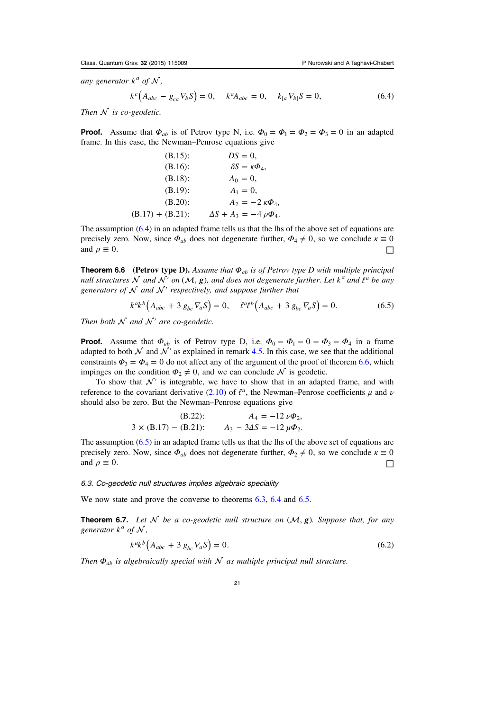<span id="page-21-0"></span>any generator  $k^a$  of  $N$ ,

$$
k^{c} (A_{abc} - g_{ca} \nabla_{b} S) = 0, \quad k^{a} A_{abc} = 0, \quad k_{[a} \nabla_{b]} S = 0,
$$
 (6.4)

Then  $N$  is co-geodetic.

**Proof.** Assume that  $\Phi_{ab}$  is of Petrov type N, i.e.  $\Phi_0 = \Phi_1 = \Phi_2 = \Phi_3 = 0$  in an adapted frame. In this case, the Newman–Penrose equations give

| $(B.15)$ :          | $DS = 0$ ,                         |
|---------------------|------------------------------------|
| $(B.16)$ :          | $\delta S = \kappa \Phi_4$         |
| $(B.18)$ :          | $A_0 = 0$ ,                        |
| $(B.19)$ :          | $A_1 = 0$ ,                        |
| $(B.20)$ :          | $A_2 = -2 \kappa \Phi_4$           |
| $(B.17) + (B.21)$ : | $\Delta S + A_3 = -4 \rho \Phi_4.$ |

The assumption [\(6.4\)](#page-19-0) in an adapted frame tells us that the lhs of the above set of equations are precisely zero. Now, since  $\Phi_{ab}$  does not degenerate further,  $\Phi_4 \neq 0$ , so we conclude  $\kappa \equiv 0$ and  $\rho \equiv 0$ . □

Theorem 6.6 (Petrov type D). Assume that *Φab* is of Petrov type D with multiple principal null structures  $\mathcal N$  and  $\mathcal N'$  on  $(\mathcal M, g)$ , and does not degenerate further. Let  $k^a$  and  $\ell^a$  be any generators of  $N$  and  $N'$  respectively, and suppose further that

$$
k^{a}k^{b}\left(A_{abc} + 3 g_{bc}\nabla_{a}S\right) = 0, \quad \ell^{a}\ell^{b}\left(A_{abc} + 3 g_{bc}\nabla_{a}S\right) = 0. \tag{6.5}
$$

Then both  $\mathcal N$  and  $\mathcal N'$  are co-geodetic.

**Proof.** Assume that  $\Phi_{ab}$  is of Petrov type D, i.e.  $\Phi_0 = \Phi_1 = 0 = \Phi_3 = \Phi_4$  in a frame adapted to both  $\mathcal N$  and  $\mathcal N'$  as explained in remark [4.5.](#page-15-0) In this case, we see that the additional constraints  $\Phi_3 = \Phi_4 = 0$  do not affect any of the argument of the proof of theorem 6.6, which impinges on the condition  $\Phi_2 \neq 0$ , and we can conclude  $\mathcal N$  is geodetic.

To show that  $\mathcal{N}'$  is integrable, we have to show that in an adapted frame, and with reference to the covariant derivative [\(2.10\)](#page-6-0) of  $l^a$ , the Newman–Penrose coefficients  $\mu$  and  $\nu$ should also be zero. But the Newman–Penrose equations give

$$
\text{(B.22):} \qquad \qquad A_4 = -12 \, \nu \Phi_2,
$$
\n
$$
3 \times (\text{B.17}) - (\text{B.21}): \qquad A_3 - 3\Delta S = -12 \, \mu \Phi_2.
$$

The assumption (6.5) in an adapted frame tells us that the lhs of the above set of equations are precisely zero. Now, since  $\Phi_{ab}$  does not degenerate further,  $\Phi_2 \neq 0$ , so we conclude  $\kappa \equiv 0$ and  $\rho \equiv 0$ .

6.3. Co-geodetic null structures implies algebraic speciality

We now state and prove the converse to theorems [6.3,](#page-20-0) [6.4](#page-20-0) and [6.5](#page-20-0).

**Theorem 6.7.** Let  $\mathcal N$  be a co-geodetic null structure on  $(\mathcal M, g)$ . Suppose that, for any generator  $k^a$  of  $\mathcal N$ ,

$$
k^{ak} \left( A_{abc} + 3 g_{bc} \nabla_a S \right) = 0. \tag{6.2}
$$

Then  $\Phi_{ab}$  is algebraically special with  $N$  as multiple principal null structure.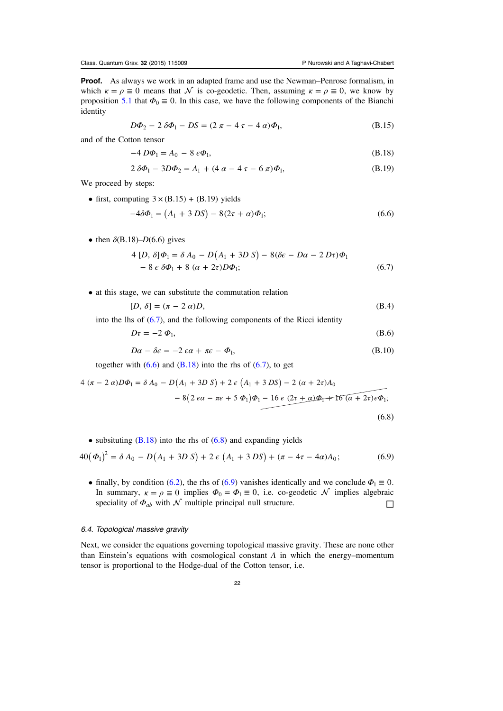<span id="page-22-0"></span>**Proof.** As always we work in an adapted frame and use the Newman–Penrose formalism, in which  $\kappa = \rho \equiv 0$  means that  $\mathcal N$  is co-geodetic. Then, assuming  $\kappa = \rho \equiv 0$ , we know by proposition [5.1](#page-18-0) that  $\Phi_0 \equiv 0$ . In this case, we have the following components of the Bianchi identity

$$
D\Phi_2 - 2\,\delta\Phi_1 - DS = (2\,\pi - 4\,\tau - 4\,a)\Phi_1,\tag{B.15}
$$

and of the Cotton tensor

$$
-4 D\Phi_1 = A_0 - 8 \epsilon \Phi_1, \tag{B.18}
$$

$$
2 \delta \Phi_1 - 3D\Phi_2 = A_1 + (4 \alpha - 4 \tau - 6 \pi) \Phi_1,
$$
 (B.19)

We proceed by steps:

• first, computing  $3 \times (B.15) + (B.19)$  yields

$$
-4\delta\Phi_1 = (A_1 + 3 DS) - 8(2\tau + \alpha)\Phi_1;
$$
\n(6.6)

• then  $\delta$ (B.18)–D(6.6) gives

$$
4 [D, \delta] \Phi_1 = \delta A_0 - D(A_1 + 3D S) - 8(\delta \epsilon - D\alpha - 2 D\tau) \Phi_1
$$
  

$$
- 8 \epsilon \delta \Phi_1 + 8 (\alpha + 2\tau) D\Phi_1;
$$
 (6.7)

• at this stage, we can substitute the commutation relation

$$
[D, \delta] = (\pi - 2 \alpha)D,\tag{B.4}
$$

into the lhs of  $(6.7)$ , and the following components of the Ricci identity

$$
D\tau = -2 \Phi_1,\tag{B.6}
$$

$$
D\alpha - \delta \epsilon = -2 \epsilon \alpha + \pi \epsilon - \Phi_1,\tag{B.10}
$$

together with  $(6.6)$  and  $(B.18)$  $(B.18)$  $(B.18)$  into the rhs of  $(6.7)$ , to get

$$
4 (\pi - 2 \alpha) D\Phi_1 = \delta A_0 - D(A_1 + 3D S) + 2 \epsilon (A_1 + 3DS) - 2 (\alpha + 2\tau) A_0
$$
  

$$
- 8(2 \epsilon \alpha - \pi \epsilon + 5 \Phi_1) \Phi_1 - 16 \epsilon (2\tau + \alpha) \Phi_1 + 16 (\alpha + 2\tau) \epsilon \Phi_1;
$$
  
(6.8)

• subsituting  $(B.18)$  $(B.18)$  into the rhs of  $(6.8)$  and expanding yields

$$
40(\Phi_1)^2 = \delta A_0 - D(A_1 + 3D S) + 2 \epsilon (A_1 + 3DS) + (\pi - 4\tau - 4\alpha)A_0;
$$
 (6.9)

• finally, by condition [\(6.2\)](#page-19-0), the rhs of (6.9) vanishes identically and we conclude  $\Phi_1 \equiv 0$ . In summary,  $\kappa = \rho \equiv 0$  implies  $\Phi_0 = \Phi_1 \equiv 0$ , i.e. co-geodetic  $\mathcal N$  implies algebraic speciality of  $\Phi_{ab}$  with  $\mathcal N$  multiple principal null structure.

## 6.4. Topological massive gravity

Next, we consider the equations governing topological massive gravity. These are none other than Einstein's equations with cosmological constant  $\Lambda$  in which the energy–momentum tensor is proportional to the Hodge-dual of the Cotton tensor, i.e.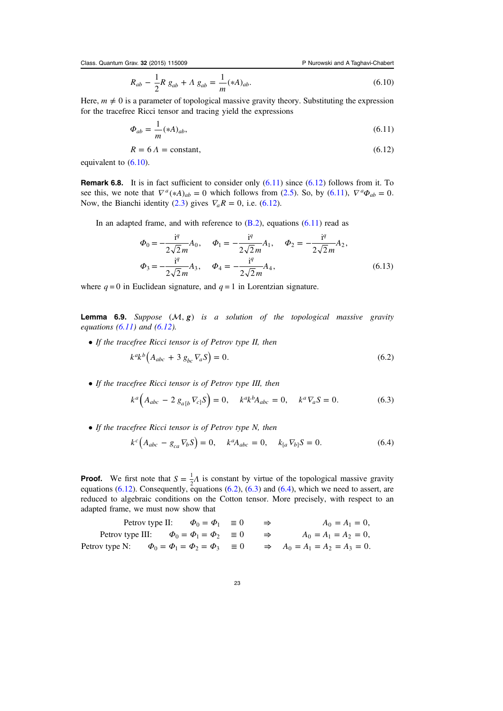<span id="page-23-0"></span>Class. Quantum Grav. 32 (2015) 115009 P Nurowski and A Taghavi-Chabert

$$
R_{ab} - \frac{1}{2}R g_{ab} + \Lambda g_{ab} = \frac{1}{m} (*A)_{ab}.
$$
\n(6.10)

Here,  $m \neq 0$  is a parameter of topological massive gravity theory. Substituting the expression for the tracefree Ricci tensor and tracing yield the expressions

$$
\Phi_{ab} = \frac{1}{m} (*A)_{ab},\tag{6.11}
$$

$$
R = 6 \Lambda = \text{constant},\tag{6.12}
$$

equivalent to [\(6.10\)](#page-22-0).

**Remark 6.8.** It is in fact sufficient to consider only  $(6.11)$  since  $(6.12)$  follows from it. To see this, we note that  $\nabla^a (*A)_{ab} = 0$  which follows from ([2.5\)](#page-5-0). So, by (6.11),  $\nabla^a \Phi_{ab} = 0$ . Now, the Bianchi identity ([2.3](#page-5-0)) gives  $\nabla_a R = 0$ , i.e. (6.12).

In an adapted frame, and with reference to  $(B.2)$  $(B.2)$ , equations  $(6.11)$  read as

$$
\Phi_0 = -\frac{i^q}{2\sqrt{2}m} A_0, \quad \Phi_1 = -\frac{i^q}{2\sqrt{2}m} A_1, \quad \Phi_2 = -\frac{i^q}{2\sqrt{2}m} A_2,
$$
  

$$
\Phi_3 = -\frac{i^q}{2\sqrt{2}m} A_3, \quad \Phi_4 = -\frac{i^q}{2\sqrt{2}m} A_4,
$$
(6.13)

where  $q = 0$  in Euclidean signature, and  $q = 1$  in Lorentzian signature.

**Lemma 6.9.** Suppose  $(M, g)$  is a solution of the topological massive gravity equations  $(6.11)$  and  $(6.12)$ .

• If the tracefree Ricci tensor is of Petrov type II, then

$$
k^{a}k^{b}\left(A_{abc}+3\ g_{bc}\nabla_{a}S\right)=0.\tag{6.2}
$$

• If the tracefree Ricci tensor is of Petrov type III, then

$$
k^{a} (A_{abc} - 2 g_{a[b} \nabla_{c]} S) = 0, \quad k^{a} k^{b} A_{abc} = 0, \quad k^{a} \nabla_{a} S = 0.
$$
 (6.3)

• If the tracefree Ricci tensor is of Petrov type N, then

$$
k^{c} (A_{abc} - g_{ca} \nabla_{b} S) = 0, \quad k^{a} A_{abc} = 0, \quad k_{[a} \nabla_{b]} S = 0.
$$
 (6.4)

**Proof.** We first note that  $S = \frac{1}{2}A$  is constant by virtue of the topological massive gravity equations  $(6.12)$ . Consequently, equations  $(6.2)$ ,  $(6.3)$  and  $(6.4)$ , which we need to assert, are reduced to algebraic conditions on the Cotton tensor. More precisely, with respect to an adapted frame, we must now show that

 $\Phi_0 = \Phi$  $\Phi_0 = \Phi_1 = \Phi$  $\Phi_0 = \Phi_1 = \Phi_2 = \Phi$  $=\Phi_1 \equiv 0 \Rightarrow A_0 = A_1 =$  $= \Phi_1 = \Phi_2 \equiv 0 \Rightarrow A_0 = A_1 = A_2$  $= \Phi_1 = \Phi_2 = \Phi_3$   $\equiv 0$   $\Rightarrow$   $A_0 = A_1 = A_2 = A_3 =$  $A_0 = A$  $A_0 = A_1 = A$  $A_0 = A_1 = A_2 = A$ Petrov type II:  $\Phi_0 = \Phi_1 \equiv 0 \Rightarrow A_0 = A_1 = 0$ , Petrov type III:  $\Phi_0 = \Phi_1 = \Phi_2 \equiv 0 \Rightarrow A_0 = A_1 = A_2 = 0$ , Petrov type N:  $\Phi_0 = \Phi_1 = \Phi_2 = \Phi_3 \equiv 0 \Rightarrow A_0 = A_1 = A_2 = A_3 = 0.$  $0 = \Psi_1 = 0 \implies A_0 = A_1$  $A_0 = \Psi_1 = \Psi_2 = 0$   $\Rightarrow$   $A_0 = A_1 = A_2$  $0_0 = \Psi_1 = \Psi_2 = \Psi_3$  = 0  $\Rightarrow$   $A_0 = A_1 = A_2 = A_3$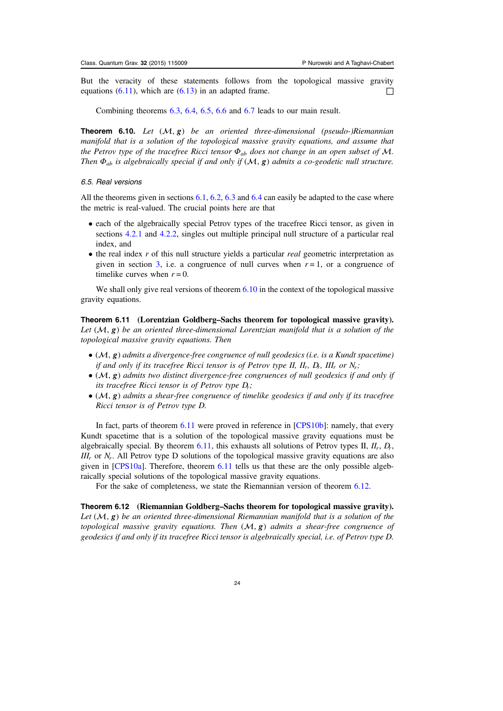<span id="page-24-0"></span>But the veracity of these statements follows from the topological massive gravity equations [\(6.11](#page-23-0)), which are [\(6.13\)](#page-23-0) in an adapted frame.  $\Box$ 

Combining theorems [6.3](#page-20-0), [6.4,](#page-20-0) [6.5,](#page-20-0) [6.6](#page-21-0) and [6.7](#page-21-0) leads to our main result.

**Theorem 6.10.** Let  $(\mathcal{M}, g)$  be an oriented three-dimensional (pseudo-)Riemannian manifold that is a solution of the topological massive gravity equations, and assume that the Petrov type of the tracefree Ricci tensor  $\Phi_{ab}$  does not change in an open subset of M. Then  $\Phi_{ab}$  is algebraically special if and only if  $(M, g)$  admits a co-geodetic null structure.

#### 6.5. Real versions

All the theorems given in sections [6.1](#page-18-0), [6.2,](#page-20-0) [6.3](#page-21-0) and [6.4](#page-22-0) can easily be adapted to the case where the metric is real-valued. The crucial points here are that

- each of the algebraically special Petrov types of the tracefree Ricci tensor, as given in sections [4.2.1](#page-16-0) and [4.2.2](#page-17-0), singles out multiple principal null structure of a particular real index, and
- $\bullet$  the real index r of this null structure yields a particular real geometric interpretation as given in section [3,](#page-9-0) i.e. a congruence of null curves when  $r = 1$ , or a congruence of timelike curves when  $r = 0$ .

We shall only give real versions of theorem 6.10 in the context of the topological massive gravity equations.

Theorem 6.11 (Lorentzian Goldberg–Sachs theorem for topological massive gravity). Let  $(M, g)$  be an oriented three-dimensional Lorentzian manifold that is a solution of the topological massive gravity equations. Then

- $\bullet$  ( $\mathcal{M}, g$ ) admits a divergence-free congruence of null geodesics (i.e. is a Kundt spacetime) if and only if its tracefree Ricci tensor is of Petrov type II, *IIr*, *Dr*, *IIIr* or *Nr*;
- $\bullet$  ( $\mathcal{M}, g$ ) admits two distinct divergence-free congruences of null geodesics if and only if its tracefree Ricci tensor is of Petrov type *Dr*;
- $\bullet$  ( $\mathcal{M}, \mathbf{g}$ ) admits a shear-free congruence of timelike geodesics if and only if its tracefree Ricci tensor is of Petrov type D.

In fact, parts of theorem 6.11 were proved in reference in [[CPS10b](#page-35-0)]: namely, that every Kundt spacetime that is a solution of the topological massive gravity equations must be algebraically special. By theorem 6.11, this exhausts all solutions of Petrov types II, *IIr*, *Dr*, *III<sub>r</sub>* or *N<sub>r</sub>*. All Petrov type D solutions of the topological massive gravity equations are also given in [[CPS10a\]](#page-35-0). Therefore, theorem 6.11 tells us that these are the only possible algebraically special solutions of the topological massive gravity equations.

For the sake of completeness, we state the Riemannian version of theorem 6.12.

Theorem 6.12 (Riemannian Goldberg–Sachs theorem for topological massive gravity). Let  $(M, g)$  be an oriented three-dimensional Riemannian manifold that is a solution of the topological massive gravity equations. Then  $(M, g)$  admits a shear-free congruence of geodesics if and only if its tracefree Ricci tensor is algebraically special, i.e. of Petrov type D.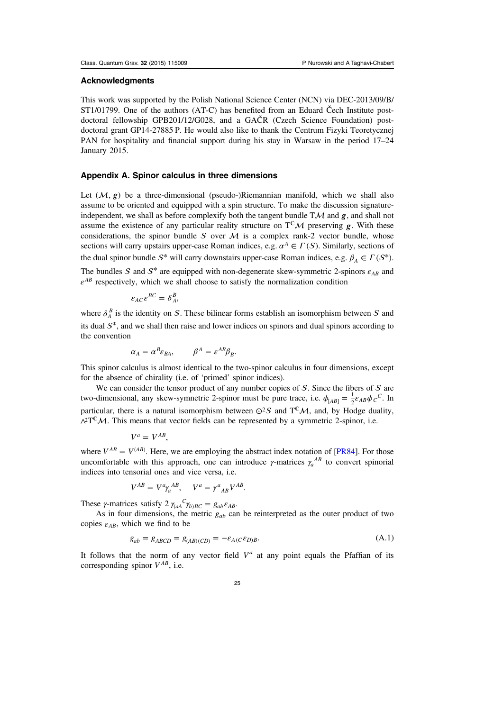## <span id="page-25-0"></span>Acknowledgments

This work was supported by the Polish National Science Center (NCN) via DEC-2013/09/B/ ST1/01799. One of the authors (AT-C) has benefited from an Eduard Čech Institute postdoctoral fellowship GPB201/12/G028, and a GAČR (Czech Science Foundation) postdoctoral grant GP14-27885 P. He would also like to thank the Centrum Fizyki Teoretycznej PAN for hospitality and financial support during his stay in Warsaw in the period 17–24 January 2015.

## Appendix A. Spinor calculus in three dimensions

Let  $(M, g)$  be a three-dimensional (pseudo-)Riemannian manifold, which we shall also assume to be oriented and equipped with a spin structure. To make the discussion signatureindependent, we shall as before complexify both the tangent bundle  $T\mathcal{M}$  and  $g$ , and shall not assume the existence of any particular reality structure on  $T^{\mathbb{C}}\mathcal{M}$  preserving  $g$ . With these considerations, the spinor bundle  $S$  over  $M$  is a complex rank-2 vector bundle, whose sections will carry upstairs upper-case Roman indices, e.g.  $\alpha^A \in \Gamma(S)$ . Similarly, sections of the dual spinor bundle  $S^*$  will carry downstairs upper-case Roman indices, e.g.  $\beta_A \in \Gamma(S^*)$ . The bundles S and  $S^*$  are equipped with non-degenerate skew-symmetric 2-spinors  $\varepsilon_{AB}$  and  $\varepsilon^{AB}$  respectively, which we shall choose to satisfy the normalization condition

$$
\varepsilon_{AC} \varepsilon^{BC} = \delta^B_A,
$$

where  $\delta_A^B$  is the identity on S. These bilinear forms establish an isomorphism between S and its dual  $S^*$ , and we shall then raise and lower indices on spinors and dual spinors according to the convention

$$
\alpha_A = \alpha^B \varepsilon_{BA}, \qquad \beta^A = \varepsilon^{AB} \beta_B.
$$

This spinor calculus is almost identical to the two-spinor calculus in four dimensions, except for the absence of chirality (i.e. of 'primed' spinor indices).

We can consider the tensor product of any number copies of  $S$ . Since the fibers of  $S$  are two-dimensional, any skew-symnetric 2-spinor must be pure trace, i.e.  $\phi_{[AB]} = \frac{1}{2} \varepsilon_{AB} \phi_C^C$ . In particular, there is a natural isomorphism between  $\odot^2 S$  and T<sup>C</sup>M, and, by Hodge duality,  $\lambda^2 T^{\mathbb{C}} \mathcal{M}$ . This means that vector fields can be represented by a symmetric 2-spinor, i.e.

$$
V^a = V^{AB},
$$

where  $V^{AB} = V^{(AB)}$ . Here, we are employing the abstract index notation of [\[PR84](#page-36-0)]. For those uncomfortable with this approach, one can introduce  $\gamma$ -matrices  $\gamma_a^{AB}$  to convert spinorial indices into tensorial ones and vice versa, i.e.

$$
V^{AB} = V^a \gamma_a^{AB}, \quad V^a = \gamma^a_{\ AB} V^{AB}.
$$

These *γ*-matrices satisfy  $2 \gamma_{(aA}^C \gamma_{b)BC} = g_{ab} \varepsilon_{AB}$ .

As in four dimensions, the metric  $g_{ab}$  can be reinterpreted as the outer product of two copies  $\varepsilon_{AB}$ , which we find to be

$$
g_{ab} = g_{ABCD} = g_{(AB)(CD)} = -\varepsilon_{A(C}\varepsilon_{D)B}.\tag{A.1}
$$

It follows that the norm of any vector field  $V^a$  at any point equals the Pfaffian of its corresponding spinor  $V^{AB}$ , i.e.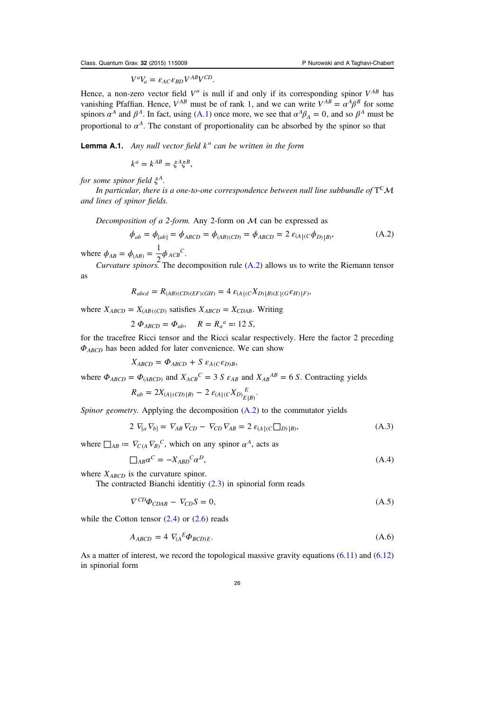$V^a V_a = \varepsilon_{AC} \varepsilon_{BD} V^{AB} V^{CD}.$ 

<span id="page-26-0"></span>Hence, a non-zero vector field  $V^a$  is null if and only if its corresponding spinor  $V^{AB}$  has vanishing Pfaffian. Hence,  $V^{AB}$  must be of rank 1, and we can write  $V^{AB} = \alpha^A \beta^B$  for some spinors  $\alpha^A$  and  $\beta^A$ . In fact, using ([A.1](#page-25-0)) once more, we see that  $\alpha^A \beta_A = 0$ , and so  $\beta^A$  must be proportional to  $\alpha^A$ . The constant of proportionality can be absorbed by the spinor so that

**Lemma A.1.** Any null vector field  $k^a$  can be written in the form

$$
k^a = k^{AB} = \xi^A \xi^B,
$$

for some spinor field *ξ<sup>A</sup>*.

In particular, there is a one-to-one correspondence between null line subbundle of  $T^{\mathbb{C}}\mathcal{M}$ and lines of spinor fields.

Decomposition of a 2-form. Any 2-form on  $M$  can be expressed as

$$
\phi_{ab} = \phi_{[ab]} = \phi_{ABCD} = \phi_{(AB)(CD)} = \phi_{ABCD} = 2 \varepsilon_{(A|(C}\phi_{D)|B)},
$$
(A.2)

where  $\phi_{AB} = \phi_{(AB)} = \frac{1}{2} \phi_{ACB}^C$ .

*Curvature spinors*. The decomposition rule  $(A.2)$  allows us to write the Riemann tensor as

$$
R_{abcd} = R_{(AB)(CD)(EF)(GH)} = 4 \varepsilon_{(A|(C X_D) | B)(E|(G \varepsilon_H) | F)},
$$

where  $X_{ABCD} = X_{(AB((CD))}$  satisfies  $X_{ABCD} = X_{CDAB}$ . Writing

 $2 \Phi_{ABCD} = \Phi_{ab}$ ,  $R = R_a^a = 12 S$ ,

for the tracefree Ricci tensor and the Ricci scalar respectively. Here the factor 2 preceding  $\Phi_{ABCD}$  has been added for later convenience. We can show

 $X_{ABCD} = \Phi_{ABCD} + S \varepsilon_{A(C} \varepsilon_{D)B},$ 

where  $\Phi_{ABCD} = \Phi_{(ABCD)}$  and  $X_{ACB}^C = 3 S \varepsilon_{AB}$  and  $X_{AB}^{AB} = 6 S$ . Contracting yields

$$
R_{ab} = 2X_{(A|(CD)|B)} - 2 \varepsilon_{(A|(C X_D)_{E|B)}^E}.
$$

Spinor geometry. Applying the decomposition (A.2) to the commutator yields

$$
2 V_{[a} V_{b]} = V_{AB} V_{CD} - V_{CD} V_{AB} = 2 \varepsilon_{(A \mid (C \square D) \mid B)}, \tag{A.3}
$$

where  $\Box_{AB} = \nabla_{C(A} \nabla_{B)}^C$ , which on any spinor  $\alpha^A$ , acts as

$$
\Box_{AB}\alpha^C = -X_{ABD}{}^C\alpha^D,\tag{A.4}
$$

where  $X_{ABCD}$  is the curvature spinor.

The contracted Bianchi identitiy ([2.3](#page-5-0)) in spinorial form reads

$$
\nabla^{CD}\Phi_{CDAB} - \nabla_{CD}S = 0,\tag{A.5}
$$

while the Cotton tensor  $(2.4)$  or  $(2.6)$  $(2.6)$  $(2.6)$  reads

$$
A_{ABCD} = 4 \nabla_A^E \Phi_{BCD)E}.
$$
\n(A.6)

As a matter of interest, we record the topological massive gravity equations  $(6.11)$  $(6.11)$  $(6.11)$  and  $(6.12)$  $(6.12)$  $(6.12)$ in spinorial form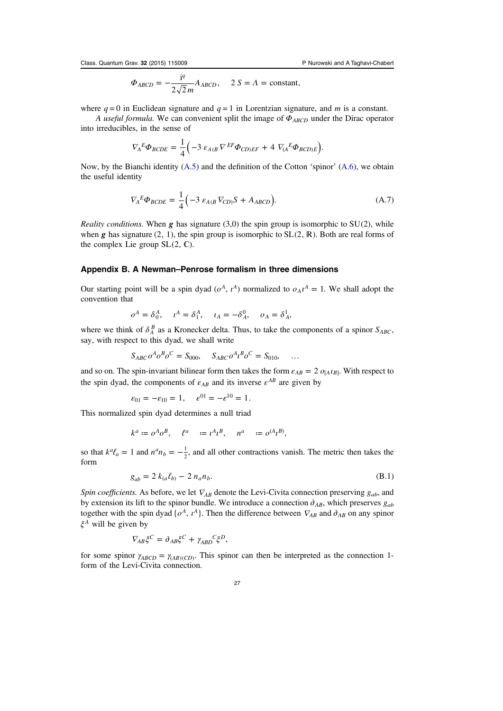$$
\Phi_{ABCD} = -\frac{i^q}{2\sqrt{2}m} A_{ABCD}, \quad 2 S = \Lambda = \text{constant},
$$

<span id="page-27-0"></span>where  $q = 0$  in Euclidean signature and  $q = 1$  in Lorentzian signature, and m is a constant.

A useful formula. We can convenient split the image of *ΦABCD* under the Dirac operator into irreducibles, in the sense of

$$
\nabla_{A}^{E} \Phi_{BCDE} = \frac{1}{4} \Big( -3 \varepsilon_{A(B} \nabla^{EF} \Phi_{CD)EF} + 4 \nabla_{(A}^{E} \Phi_{BCD)E} \Big).
$$

Now, by the Bianchi identity  $(A.5)$  $(A.5)$  $(A.5)$  and the definition of the Cotton 'spinor'  $(A.6)$ , we obtain the useful identity

$$
\nabla_{A}^{E} \Phi_{BCDE} = \frac{1}{4} \Big( -3 \varepsilon_{A(B} \nabla_{CD)} S + A_{ABCD} \Big). \tag{A.7}
$$

*Reality conditions.* When  $g$  has signature (3,0) the spin group is isomorphic to  $SU(2)$ , while when *g* has signature (2, 1), the spin group is isomorphic to  $SL(2, \mathbb{R})$ . Both are real forms of the complex Lie group  $SL(2, \mathbb{C})$ .

#### Appendix B. A Newman–Penrose formalism in three dimensions

Our starting point will be a spin dyad  $(o^A, i^A)$  normalized to  $o_A i^A = 1$ . We shall adopt the convention that

$$
o^A = \delta^A_0, \quad \iota^A = \delta^A_1, \quad \iota_A = -\delta^0_A, \quad o_A = \delta^1_A,
$$

where we think of  $\delta_A^B$  as a Kronecker delta. Thus, to take the components of a spinor  $S_{ABC}$ , say, with respect to this dyad, we shall write

$$
S_{ABC} \, o^A \, o^B \, o^C = S_{000}, \quad S_{ABC} \, o^A \, l^B \, o^C = S_{010}, \quad \dots
$$

and so on. The spin-invariant bilinear form then takes the form  $\varepsilon_{AB} = 2 o_{[A} t_{B]}$ . With respect to the spin dyad, the components of  $\varepsilon_{AB}$  and its inverse  $\varepsilon^{AB}$  are given by

$$
\varepsilon_{01} = -\varepsilon_{10} = 1, \quad \varepsilon^{01} = -\varepsilon^{10} = 1.
$$

This normalized spin dyad determines a null triad

$$
k^a:=o^A o^B, \quad \ell^a\quad:=\iota^A \iota^B, \quad n^a\quad:=o^{(A} \iota^B),
$$

so that  $k^a \ell_a = 1$  and  $n^a n_b = -\frac{1}{2}$  $\frac{1}{2}$ , and all other contractions vanish. The metric then takes the form

$$
g_{ab} = 2 k_{(a} \ell_{b)} - 2 n_{a} n_{b}.
$$
 (B.1)

Spin coefficients. As before, we let  $\nabla_{AB}$  denote the Levi-Civita connection preserving  $g_{ab}$ , and by extension its lift to the spinor bundle. We introduce a connection  $\partial_{AB}$ , which preserves  $g_{ab}$ together with the spin dyad { $o^A$ ,  $i^A$ }. Then the difference between  $\nabla_{AB}$  and  $\partial_{AB}$  on any spinor *ξ<sup>A</sup>* will be given by

$$
\nabla_{AB}\xi^C = \partial_{AB}\xi^C + \gamma_{ABD}^{\quad C}\xi^D,
$$

for some spinor  $\gamma_{ABCD} = \gamma_{(AB)(CD)}$ . This spinor can then be interpreted as the connection 1form of the Levi-Civita connection.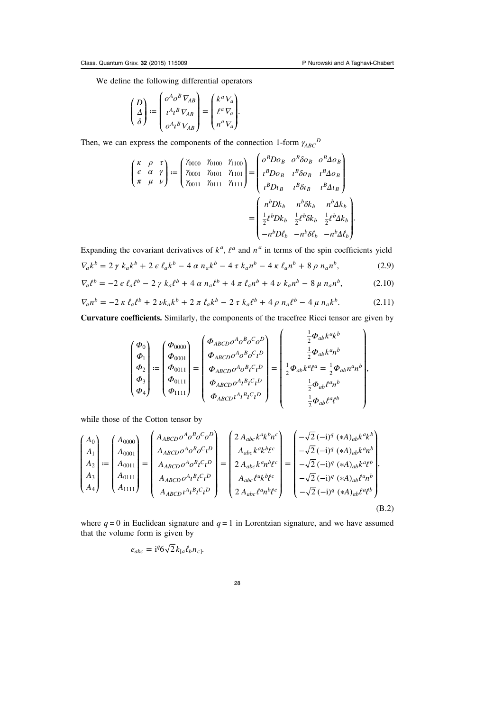<span id="page-28-0"></span>We define the following differential operators

$$
\begin{pmatrix} D \\ \Delta \\ \delta \end{pmatrix} := \begin{pmatrix} o^A o^B \, \nabla_{AB} \\ i^A \iota^B \, \nabla_{AB} \\ o^A \iota^B \, \nabla_{AB} \end{pmatrix} = \begin{pmatrix} k^a \, \nabla_a \\ \ell^a \, \nabla_a \\ n^a \, \nabla_a \end{pmatrix}.
$$

Then, we can express the components of the connection 1-form  $\gamma_{ABC}^D$ 

$$
\begin{pmatrix}\n\kappa & \rho & \tau \\
\epsilon & \alpha & \gamma \\
\pi & \mu & \nu\n\end{pmatrix} := \begin{pmatrix}\n\gamma_{0000} & \gamma_{0100} & \gamma_{1100} \\
\gamma_{0001} & \gamma_{0101} & \gamma_{1101} \\
\gamma_{0011} & \gamma_{0111} & \gamma_{1111}\n\end{pmatrix} = \begin{pmatrix}\n\sigma^B D \sigma_B & \sigma^B \delta \sigma_B & \sigma^B \Delta \sigma_B \\
\iota^B D \sigma_B & \iota^B \delta \sigma_B & \iota^B \Delta \sigma_B \\
\iota^B D \sigma_B & \iota^B \delta \sigma_B & \iota^B \Delta \sigma_B \\
\iota^B D \sigma_B & \iota^B \delta \sigma_B & \iota^B \Delta \sigma_B \\
\frac{1}{2} \ell^b D k_b & \frac{1}{2} \ell^b \delta k_b & \frac{1}{2} \ell^b \Delta k_b \\
-\n\kappa^b D \ell_b & -\n\kappa^b \Delta \ell_b & -\n\kappa^b \Delta \ell_b\n\end{pmatrix}
$$

 $\overline{a}$ 

Expanding the covariant derivatives of  $k^a$ ,  $\ell^a$  and  $n^a$  in terms of the spin coefficients yield

$$
\nabla_a k^b = 2 \gamma k_a k^b + 2 \epsilon \ell_a k^b - 4 \alpha n_a k^b - 4 \tau k_a n^b - 4 \kappa \ell_a n^b + 8 \rho n_a n^b, \tag{2.9}
$$

$$
\nabla_a \ell^b = -2 \epsilon \ell_a \ell^b - 2 \gamma k_a \ell^b + 4 \alpha n_a \ell^b + 4 \pi \ell_a n^b + 4 \nu k_a n^b - 8 \mu n_a n^b, \tag{2.10}
$$

$$
\nabla_a n^b = -2 \kappa \,\ell_a \ell^b + 2 \,\nu k_a k^b + 2 \,\pi \,\ell_a k^b - 2 \,\tau \,k_a \ell^b + 4 \,\rho \,n_a \ell^b - 4 \,\mu \,n_a k^b. \tag{2.11}
$$

Curvature coefficients. Similarly, the components of the tracefree Ricci tensor are given by

$$
\begin{pmatrix} \Phi_0 \\ \Phi_1 \\ \Phi_2 \\ \Phi_3 \\ \Phi_4 \end{pmatrix} \coloneqq \begin{pmatrix} \Phi_{0000} \\ \Phi_{0001} \\ \Phi_{0011} \\ \Phi_{0111} \\ \Phi_{1111} \end{pmatrix} = \begin{pmatrix} \Phi_{ABCD} o^A o^B o^C o^D \\ \Phi_{ABCD} o^A o^B o^C \iota^D \\ \Phi_{ABCD} o^A o^B \iota^C \iota^D \\ \Phi_{ABCD} o^A \iota^B \iota^C \iota^D \\ \Phi_{ABCD} o^A \iota^B \iota^C \iota^D \end{pmatrix} = \begin{pmatrix} \frac{1}{2} \Phi_{ab} k^a k^b \\ \frac{1}{2} \Phi_{ab} k^a n^b \\ \frac{1}{2} \Phi_{ab} k^a \ell^a = \frac{1}{2} \Phi_{ab} n^a n^b \\ \frac{1}{2} \Phi_{ab} \ell^a n^b \\ \frac{1}{2} \Phi_{ab} \ell^a \ell^b \end{pmatrix},
$$

while those of the Cotton tensor by

$$
\begin{pmatrix}\nA_{0} \\
A_{1} \\
A_{2} \\
A_{3} \\
A_{4}\n\end{pmatrix} := \begin{pmatrix}\nA_{0000} \\
A_{0001} \\
A_{0011} \\
A_{0111} \\
A_{1111}\n\end{pmatrix} = \begin{pmatrix}\nA_{ABCD} \, o^A \, o^B \, o^C \, o^D \\
A_{ABCD} \, o^A \, o^B \, o^C \, l^D \\
A_{ABCD} \, o^A \, o^B \, l^C \, l^D \\
A_{ABCD} \, o^A \, l^B \, l^C \, l^D \\
A_{ABCD} \, o^A \, l^B \, l^C \, l^D \\
A_{ABCD} \, l^A \, l^B \, l^C \, l^D\n\end{pmatrix} = \begin{pmatrix}\n2 \, A_{abc} k^a k^b n^c \\
A_{abc} k^a k^b l^c \\
2 \, A_{abc} k^a n^b l^c \\
A_{abc} \, l^a k^b l^c \\
2 \, A_{abc} \, l^a n^b l^c\n\end{pmatrix} = \begin{pmatrix}\n-\sqrt{2} \, (-i)^q \, (*A)_{ab} k^a k^b \\
-\sqrt{2} \, (-i)^q \, (*A)_{ab} k^a n^b \\
-\sqrt{2} \, (-i)^q \, (*A)_{ab} k^a l^b \\
-\sqrt{2} \, (-i)^q \, (*A)_{ab} l^a l^b \\
-\sqrt{2} \, (-i)^q \, (*A)_{ab} l^a l^b\n\end{pmatrix},
$$
\n(B.2)

where  $q = 0$  in Euclidean signature and  $q = 1$  in Lorentzian signature, and we have assumed that the volume form is given by

$$
e_{abc} = \mathrm{i}^q 6 \sqrt{2} k_{[a} \ell_b n_c].
$$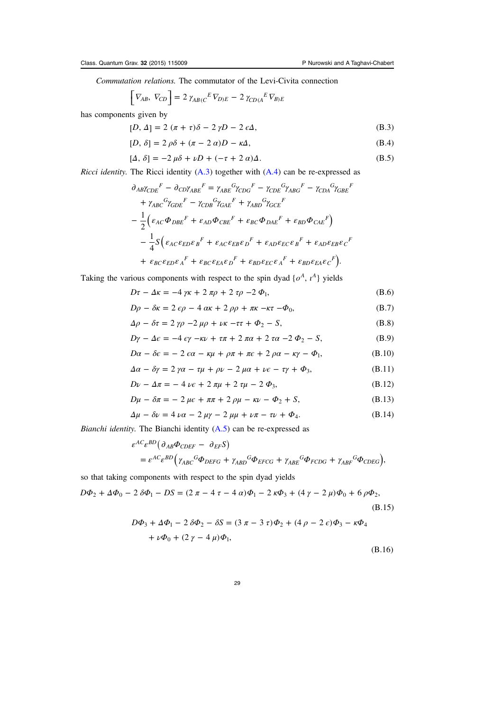<span id="page-29-0"></span>Commutation relations. The commutator of the Levi-Civita connection

$$
\[ \nabla_{AB}, \nabla_{CD} \] = 2 \gamma_{AB(C}{}^{E} \nabla_{D)E} - 2 \gamma_{CD(A}{}^{E} \nabla_{B)E}
$$

has components given by  

$$
[D, A] = 2(\pi + \tau)\delta - 2\gamma D
$$

$$
[D, \Delta] = 2(\pi + \tau)\delta - 2\gamma D - 2\epsilon\Delta, \tag{B.3}
$$

$$
[D, \delta] = 2 \rho \delta + (\pi - 2 \alpha)D - \kappa \Delta, \tag{B.4}
$$

$$
[\Delta, \delta] = -2 \mu \delta + \nu D + (-\tau + 2 \alpha) \Delta. \tag{B.5}
$$

*Ricci identity.* The Ricci identity  $(A.3)$  $(A.3)$  $(A.3)$  together with  $(A.4)$  $(A.4)$  $(A.4)$  can be re-expressed as

$$
\partial_{AB}\gamma_{CDE}^{F} - \partial_{CD}\gamma_{ABE}^{F} = \gamma_{ABE}^{G}\gamma_{CDG}^{F} - \gamma_{CDE}^{G}\gamma_{ABC}^{F} - \gamma_{CDA}^{G}\gamma_{GBE}^{F}
$$
  
+ 
$$
\gamma_{ABC}^{G}\gamma_{GDE}^{F} - \gamma_{CDB}^{G}\gamma_{GAE}^{F} + \gamma_{ABD}^{G}\gamma_{GCE}^{F}
$$
  
- 
$$
\frac{1}{2} \Big( \varepsilon_{AC}\Phi_{DBE}^{F} + \varepsilon_{AD}\Phi_{CBE}^{F} + \varepsilon_{BC}\Phi_{DAE}^{F} + \varepsilon_{BD}\Phi_{CAE}^{F} \Big)
$$
  
- 
$$
\frac{1}{4} S \Big( \varepsilon_{AC}\varepsilon_{ED}\varepsilon_{B}^{F} + \varepsilon_{AC}\varepsilon_{EB}\varepsilon_{D}^{F} + \varepsilon_{AD}\varepsilon_{EC}\varepsilon_{B}^{F} + \varepsilon_{AD}\varepsilon_{EB}\varepsilon_{C}^{F}
$$
  
+ 
$$
\varepsilon_{BC}\varepsilon_{ED}\varepsilon_{A}^{F} + \varepsilon_{BC}\varepsilon_{EA}\varepsilon_{D}^{F} + \varepsilon_{BD}\varepsilon_{EC}\varepsilon_{A}^{F} + \varepsilon_{BD}\varepsilon_{EA}\varepsilon_{C}^{F} \Big).
$$

Taking the various components with respect to the spin dyad  $\{o^A, v^A\}$  yields

$$
D\tau - \Delta \kappa = -4 \gamma \kappa + 2 \pi \rho + 2 \tau \rho - 2 \Phi_1,
$$
 (B.6)

$$
D\rho - \delta\kappa = 2 \epsilon\rho - 4 \alpha\kappa + 2 \rho\rho + \pi\kappa - \kappa\tau - \Phi_0, \tag{B.7}
$$

$$
\Delta \rho - \delta \tau = 2 \gamma \rho - 2 \mu \rho + \nu \kappa - \tau \tau + \Phi_2 - S,\tag{B.8}
$$

$$
D\gamma - \Delta \epsilon = -4 \epsilon \gamma - \kappa \nu + \tau \pi + 2 \pi \alpha + 2 \tau \alpha - 2 \Phi_2 - S, \tag{B.9}
$$

$$
D\alpha - \delta \epsilon = -2 \epsilon \alpha - \kappa \mu + \rho \pi + \pi \epsilon + 2 \rho \alpha - \kappa \gamma - \Phi_1,
$$
 (B.10)

$$
\Delta \alpha - \delta \gamma = 2 \gamma \alpha - \tau \mu + \rho \nu - 2 \mu \alpha + \nu \epsilon - \tau \gamma + \Phi_3, \tag{B.11}
$$

$$
D\nu - \Delta \pi = -4 \nu \epsilon + 2 \pi \mu + 2 \tau \mu - 2 \Phi_3, \tag{B.12}
$$

$$
D\mu - \delta \pi = -2 \mu \epsilon + \pi \pi + 2 \rho \mu - \kappa \nu - \Phi_2 + S,
$$
 (B.13)

$$
\Delta \mu - \delta \nu = 4 \nu \alpha - 2 \mu \gamma - 2 \mu \mu + \nu \pi - \tau \nu + \Phi_4. \tag{B.14}
$$

Bianchi identity. The Bianchi identity  $(A.5)$  can be re-expressed as

$$
\varepsilon^{AC} \varepsilon^{BD} \big( \partial_{AB} \Phi_{CDEF} - \partial_{EF} S \big)
$$
  
=  $\varepsilon^{AC} \varepsilon^{BD} \big( \gamma_{ABC}{}^G \Phi_{DEFG} + \gamma_{ABD}{}^G \Phi_{EFGG} + \gamma_{ABE}{}^G \Phi_{FCDG} + \gamma_{ABF}{}^G \Phi_{CDEG} \big),$ 

so that taking components with respect to the spin dyad yields

$$
D\Phi_2 + \Delta\Phi_0 - 2\,\delta\Phi_1 - DS = (2\,\pi - 4\,\tau - 4\,\alpha)\Phi_1 - 2\,\kappa\Phi_3 + (4\,\gamma - 2\,\mu)\Phi_0 + 6\,\rho\Phi_2,
$$
\n(B.15)

$$
D\Phi_3 + \Delta\Phi_1 - 2 \delta\Phi_2 - \delta S = (3 \pi - 3 \tau)\Phi_2 + (4 \rho - 2 \epsilon)\Phi_3 - \kappa\Phi_4 + \nu\Phi_0 + (2 \gamma - 4 \mu)\Phi_1,
$$
\n(B.16)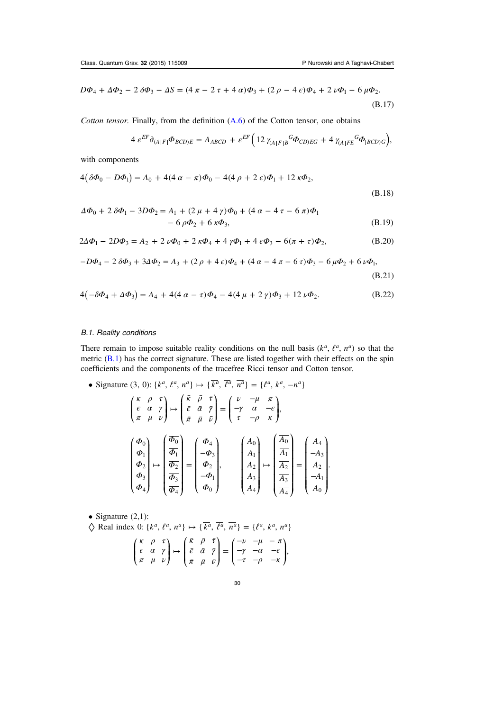<span id="page-30-0"></span>
$$
D\Phi_4 + \Delta\Phi_2 - 2\,\delta\Phi_3 - \Delta S = (4\,\pi - 2\,\tau + 4\,\alpha)\Phi_3 + (2\,\rho - 4\,\epsilon)\Phi_4 + 2\,\nu\Phi_1 - 6\,\mu\Phi_2.
$$
\n(B.17)

Cotton tensor. Finally, from the definition [\(A.6\)](#page-26-0) of the Cotton tensor, one obtains

$$
4\ \varepsilon^{EF}\partial_{(A|F|}\Phi_{BCD)E} = A_{ABCD} + \varepsilon^{EF} \Big(12\ \gamma_{(A|F|B}{}^G\Phi_{CD)EG} + 4\ \gamma_{(A|FE}{}^G\Phi_{|BCD)G}\Big),
$$

with components

$$
4(\delta\Phi_0 - D\Phi_1) = A_0 + 4(4\alpha - \pi)\Phi_0 - 4(4\rho + 2\epsilon)\Phi_1 + 12\kappa\Phi_2,
$$
\n(B.18)

$$
\Delta \Phi_0 + 2 \delta \Phi_1 - 3D\Phi_2 = A_1 + (2 \mu + 4 \gamma)\Phi_0 + (4 \alpha - 4 \tau - 6 \pi)\Phi_1 - 6 \rho \Phi_2 + 6 \kappa \Phi_3,
$$
 (B.19)

$$
2\Delta\Phi_1 - 2D\Phi_3 = A_2 + 2\,\nu\Phi_0 + 2\,\kappa\Phi_4 + 4\,\gamma\Phi_1 + 4\,\epsilon\Phi_3 - 6(\pi + \tau)\Phi_2,\tag{B.20}
$$

$$
-D\Phi_4 - 2\,\delta\Phi_3 + 3\Delta\Phi_2 = A_3 + (2\,\rho + 4\,\epsilon)\Phi_4 + (4\,\alpha - 4\,\pi - 6\,\tau)\Phi_3 - 6\,\mu\Phi_2 + 6\,\nu\Phi_1,
$$

(B.21)

$$
4(-\delta\Phi_4 + \Delta\Phi_3) = A_4 + 4(4\alpha - \tau)\Phi_4 - 4(4\mu + 2\gamma)\Phi_3 + 12\nu\Phi_2.
$$
 (B.22)

## B.1. Reality conditions

There remain to impose suitable reality conditions on the null basis  $(k^a, \ell^a, n^a)$  so that the metric ([B.1\)](#page-27-0) has the correct signature. These are listed together with their effects on the spin coefficients and the components of the tracefree Ricci tensor and Cotton tensor.

• Signature (3, 0): 
$$
\{k^a, \ell^a, n^a\} \mapsto \{\overline{k^a}, \overline{\ell^a}, \overline{n^a}\} = \{\ell^a, k^a, -n^a\}
$$
  
\n
$$
\begin{pmatrix}\n\kappa & \rho & \tau \\
\epsilon & \alpha & \gamma \\
\pi & \mu & \nu\n\end{pmatrix}\n\mapsto\n\begin{pmatrix}\n\overline{\kappa} & \overline{\rho} & \overline{\tau} \\
\overline{\epsilon} & \overline{\alpha} & \overline{\gamma} \\
\overline{\pi} & \overline{\mu} & \overline{\nu}\n\end{pmatrix}\n=\n\begin{pmatrix}\n\nu & -\mu & \pi \\
-\gamma & \alpha & -\epsilon \\
\tau & -\rho & \kappa\n\end{pmatrix},
$$
\n
$$
\begin{pmatrix}\n\Phi_0 \\
\Phi_1 \\
\Phi_2 \\
\Phi_3 \\
\Phi_4\n\end{pmatrix}\n\mapsto\n\begin{pmatrix}\n\overline{\Phi_0} \\
\overline{\Phi_1} \\
\overline{\Phi_2} \\
\overline{\Phi_3} \\
\Phi_4\n\end{pmatrix}\n=\n\begin{pmatrix}\n\Phi_4 \\
-\Phi_3 \\
\Phi_2 \\
-\Phi_1 \\
\Phi_0\n\end{pmatrix},\n\qquad\n\begin{pmatrix}\nA_0 \\
A_1 \\
A_2 \\
A_3 \\
A_4\n\end{pmatrix}\n\mapsto\n\begin{pmatrix}\n\overline{A_0} \\
\overline{A_1} \\
\overline{A_2} \\
\overline{A_3} \\
\overline{A_4}\n\end{pmatrix}\n=\n\begin{pmatrix}\nA_4 \\
-A_3 \\
A_2 \\
-A_1 \\
A_0\n\end{pmatrix}.
$$

• Signature  $(2,1)$ :

$$
\diamondsuit \text{ Real index 0: } \{k^a, \ell^a, n^a\} \mapsto \{\overline{k^a}, \overline{\ell^a}, \overline{n^a}\} = \{\ell^a, k^a, n^a\}
$$

$$
\begin{pmatrix} \kappa & \rho & \tau \\ \varepsilon & \alpha & \gamma \\ \pi & \mu & \nu \end{pmatrix} \mapsto \begin{pmatrix} \bar{\kappa} & \bar{\rho} & \bar{\tau} \\ \bar{\varepsilon} & \bar{\alpha} & \bar{\gamma} \\ \bar{\pi} & \bar{\mu} & \bar{\nu} \end{pmatrix} = \begin{pmatrix} -\nu & -\mu & -\pi \\ -\gamma & -\alpha & -\epsilon \\ -\tau & -\rho & -\kappa \end{pmatrix},
$$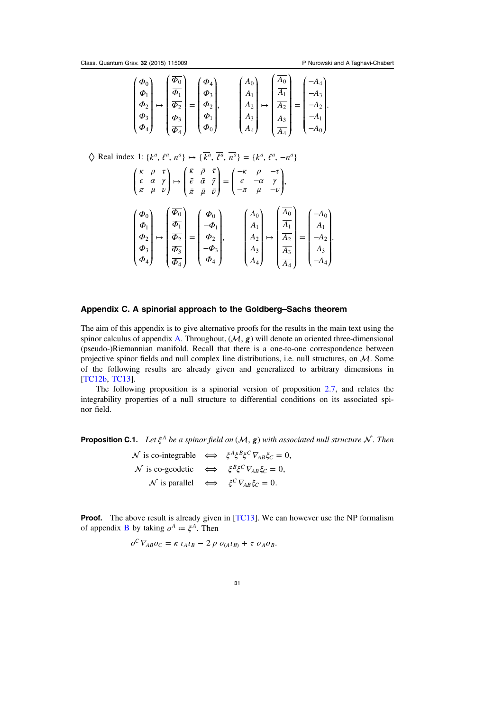*Φ Φ* ⎝

⎠

⎟  $\frac{1}{2}$ 

3 4

⎜ ⎜

*Φ Φ*

3 4

⎠

 $\overline{\phantom{a}}$ 

⎝

⎜ ⎜

−

*A A* ⎞

 $\boldsymbol{0}$ 

2 3 4 ⎟ ⎟ ⎟  $\frac{1}{2}$ ⎟⎟

⎠

⎝

⎜ ⎜⎜

<span id="page-31-0"></span>

| $\phi_0$<br>$ \phi_1 $<br>$\phi_2$<br>$\Phi_3$ <sub>1</sub> | $\overline{\Phi_0}$<br>$\overline{\Phi_1}$<br>$\overline{\Phi_2}$<br>$\overline{\Phi_3}$ | $(\Phi_4)$<br>$\Phi_3$<br>$\Phi_2$ ,<br>$\boldsymbol{\varPhi}_1$ | $A_0$<br>$A_1$<br>$A_2$ <sub>1</sub><br>$A_3$ | $\overline{A_0}$<br>$\overline{A_1}$<br>$\overline{A_2}$<br>$\overline{A_3}$ | $=$ | $-A_4$<br>$-A_3$<br>$-A_2$ .<br>$-A_1$ |  |
|-------------------------------------------------------------|------------------------------------------------------------------------------------------|------------------------------------------------------------------|-----------------------------------------------|------------------------------------------------------------------------------|-----|----------------------------------------|--|
| $(\phi_4)$                                                  | $\left(\overline{\Phi_4}\right)$                                                         | $(\Phi_0)$                                                       | $(A_4)$                                       | $\left(\frac{\overline{A_4}}{\overline{A_4}}\right)$                         |     | $(-A_0)$                               |  |

 $\Diamond$  Real index 1: { $k^a$ ,  $\ell^a$ ,  $n^a$ }  $\mapsto$  { $\overline{k}$ <sup>*a*</sup>,  $\overline{\ell}$ <sup>*a*</sup>,  $\overline{n}$ <sup>*a*</sup>} = { $k^a$ ,  $\ell^a$ ,  $-n^a$ }

$$
\begin{pmatrix}\n\kappa & \rho & \tau \\
\epsilon & \alpha & \gamma \\
\pi & \mu & \nu\n\end{pmatrix}\n\mapsto\n\begin{pmatrix}\n\bar{\kappa} & \bar{\rho} & \bar{\tau} \\
\bar{\epsilon} & \bar{\alpha} & \bar{\gamma} \\
\bar{\pi} & \bar{\mu} & \bar{\nu}\n\end{pmatrix}\n=\n\begin{pmatrix}\n-\kappa & \rho & -\tau \\
\epsilon & -\alpha & \gamma \\
-\pi & \mu & -\nu\n\end{pmatrix},
$$
\n
$$
\begin{pmatrix}\n\Phi_0 \\
\Phi_1 \\
\Phi_2 \\
\pi\n\end{pmatrix}\n\mapsto\n\begin{pmatrix}\n\overline{\Phi_0} \\
\overline{\Phi_1} \\
\overline{\Phi_2} \\
\pi\n\end{pmatrix}\n=\n\begin{pmatrix}\n\Phi_0 \\
-\Phi_1 \\
\Phi_2 \\
\pi\n\end{pmatrix},\n\qquad\n\begin{pmatrix}\nA_0 \\
A_1 \\
A_2 \\
\pi\n\end{pmatrix}\n\mapsto\n\begin{pmatrix}\n\overline{A_0} \\
\overline{A_1} \\
\overline{A_2} \\
\pi\n\end{pmatrix}\n=\n\begin{pmatrix}\n-A_0 \\
A_1 \\
-A_2 \\
\pi\n\end{pmatrix}.
$$

## Appendix C. A spinorial approach to the Goldberg–Sachs theorem

*Φ Φ*

⎠

⎝

⎠

⎝

⎠

⎟  $\frac{1}{2}$ 

⎜ ⎜ *A A*

3 4

 $\frac{1}{2}$ ⎟⎟

⎜ ⎜⎜

*A A*

3 4

 $\overline{\phantom{a}}$  $\overline{\phantom{a}}$ 

3 4

−

⎝

⎜ ⎜

The aim of this appendix is to give alternative proofs for the results in the main text using the spinor calculus of appendix [A.](#page-25-0) Throughout,  $(M, \varrho)$  will denote an oriented three-dimensional (pseudo-)Riemannian manifold. Recall that there is a one-to-one correspondence between projective spinor fields and null complex line distributions, i.e. null structures, on  $M$ . Some of the following results are already given and generalized to arbitrary dimensions in [[TC12b](#page-36-0), [TC13\]](#page-36-0).

The following proposition is a spinorial version of proposition [2.7](#page-7-0), and relates the integrability properties of a null structure to differential conditions on its associated spinor field.

**Proposition C.1.** Let  $\xi^A$  be a spinor field on  $(M, g)$  with associated null structure  $N$ . Then

$$
\mathcal{N} \text{ is co-integrable} \iff \xi^A \xi^B \xi^C \nabla_{AB} \xi_C = 0,
$$
  

$$
\mathcal{N} \text{ is co-geodetic} \iff \xi^B \xi^C \nabla_{AB} \xi_C = 0,
$$
  

$$
\mathcal{N} \text{ is parallel} \iff \xi^C \nabla_{AB} \xi_C = 0.
$$

**Proof.** The above result is already given in  $[TC13]$  $[TC13]$  $[TC13]$ . We can however use the NP formalism of appendix **[B](#page-27-0)** by taking  $o^A := \xi^A$ . Then

$$
o^C V_{AB} o_C = \kappa l_A l_B - 2 \rho o_{(A} l_B) + \tau o_A o_B.
$$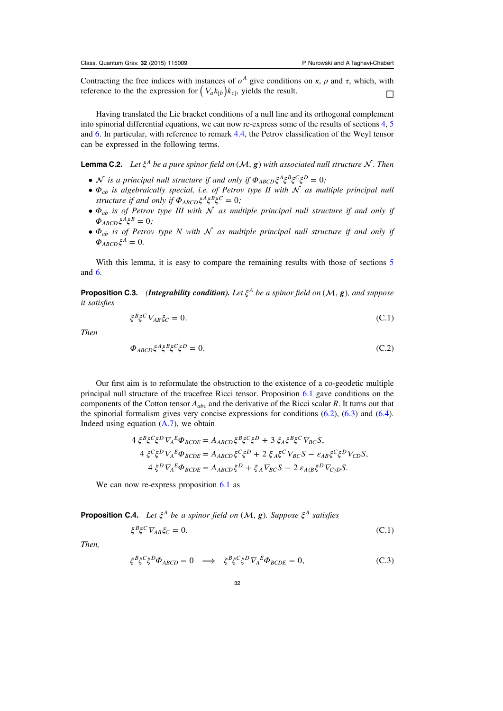<span id="page-32-0"></span>Contracting the free indices with instances of  $o^A$  give conditions on  $\kappa$ ,  $\rho$  and  $\tau$ , which, with reference to the the expression for  $(\nabla_a k_{\{b\}}) k_{c\}$ , yields the result.

Having translated the Lie bracket conditions of a null line and its orthogonal complement into spinorial differential equations, we can now re-express some of the results of sections [4](#page-14-0), [5](#page-17-0) and [6.](#page-18-0) In particular, with reference to remark [4.4,](#page-15-0) the Petrov classification of the Weyl tensor can be expressed in the following terms.

**Lemma C.2.** Let  $\xi^A$  be a pure spinor field on  $(M, g)$  with associated null structure  $N$ . Then

- $\mathcal N$  is a principal null structure if and only if  $\Phi_{ABCD} \xi^A \xi^B \xi^C \xi^D = 0$ ;
- $\Phi_{ab}$  is algebraically special, i.e. of Petrov type II with  $\mathcal N$  as multiple principal null structure if and only if  $\Phi_{ABCD} \xi^A \xi^B \xi^C = 0$ ;
- $\Phi_{ab}$  is of Petrov type III with  $\mathcal N$  as multiple principal null structure if and only if  $\Phi_{ABCD}\xi^A \xi^B = 0$ ;
- $\Phi_{ab}$  is of Petrov type N with N as multiple principal null structure if and only if  $\Phi_{ABCD}\xi^A=0.$

With this lemma, it is easy to compare the remaining results with those of sections [5](#page-17-0) and [6](#page-18-0).

**Proposition C.3.** (Integrability condition). Let  $\xi^A$  be a spinor field on  $(\mathcal{M}, g)$ , and suppose it satisfies

$$
\xi^B \xi^C \nabla_{AB} \xi_C = 0. \tag{C.1}
$$

Then

$$
\Phi_{ABCD}\xi^A\xi^B\xi^C\xi^D = 0. \tag{C.2}
$$

Our first aim is to reformulate the obstruction to the existence of a co-geodetic multiple principal null structure of the tracefree Ricci tensor. Proposition [6.1](#page-18-0) gave conditions on the components of the Cotton tensor  $A_{abc}$  and the derivative of the Ricci scalar R. It turns out that the spinorial formalism gives very concise expressions for conditions  $(6.2)$ ,  $(6.3)$  $(6.3)$  $(6.3)$  and  $(6.4)$ . Indeed using equation  $(A.7)$ , we obtain

$$
4 \xi^{B} \xi^{C} \xi^{D} \nabla_{A}^{E} \Phi_{BCDE} = A_{ABCD} \xi^{B} \xi^{C} \xi^{D} + 3 \xi_{A} \xi^{B} \xi^{C} \nabla_{BC} S,
$$
  

$$
4 \xi^{C} \xi^{D} \nabla_{A}^{E} \Phi_{BCDE} = A_{ABCD} \xi^{C} \xi^{D} + 2 \xi_{A} \xi^{C} \nabla_{BC} S - \varepsilon_{AB} \xi^{C} \xi^{D} \nabla_{CD} S,
$$
  

$$
4 \xi^{D} \nabla_{A}^{E} \Phi_{BCDE} = A_{ABCD} \xi^{D} + \xi_{A} \nabla_{BC} S - 2 \varepsilon_{A(B} \xi^{D} \nabla_{CD} S.
$$

We can now re-express proposition [6.1](#page-18-0) as

**Proposition C.4.** Let  $\xi^A$  be a spinor field on  $(\mathcal{M}, g)$ . Suppose  $\xi^A$  satisfies

$$
\xi^B \xi^C \nabla_{AB} \xi_C = 0. \tag{C.1}
$$

Then,

$$
\xi^B \xi^C \xi^D \Phi_{ABCD} = 0 \implies \xi^B \xi^C \xi^D \nabla_A^A \Phi_{BCDE} = 0, \tag{C.3}
$$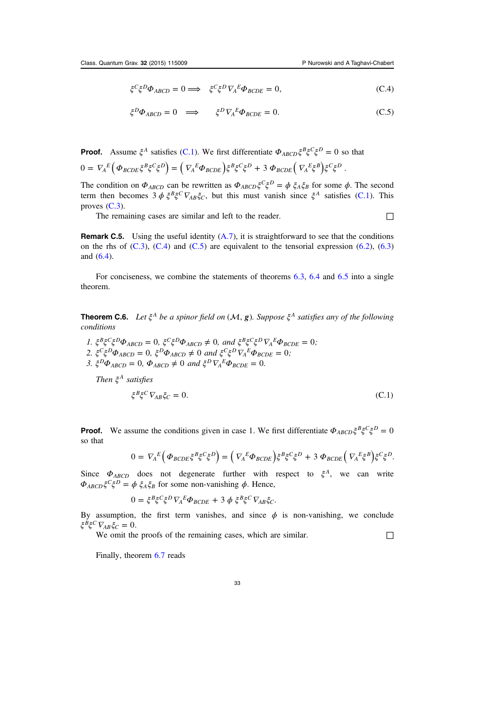$$
\xi^C \xi^D \Phi_{ABCD} = 0 \Longrightarrow \xi^C \xi^D \nabla_A^E \Phi_{BCDE} = 0, \tag{C.4}
$$

$$
\xi^D \Phi_{ABCD} = 0 \implies \xi^D \nabla_A^E \Phi_{BCDE} = 0. \tag{C.5}
$$

**Proof.** Assume  $\xi^A$  satisfies [\(C.1](#page-32-0)). We first differentiate  $\Phi_{ABCD}\xi^B\xi^C\xi^D = 0$  so that  $0 = \nabla_A^E \left( \Phi_{BCDE} \xi^B \xi^C \xi^D \right) = \left( \nabla_A^E \Phi_{BCDE} \right) \xi^B \xi^C \xi^D + 3 \Phi_{BCDE} \left( \nabla_A^E \xi^B \right) \xi^C \xi^D.$ 

The condition on  $\Phi_{ABCD}$  can be rewritten as  $\Phi_{ABCD}\xi^C\xi^D = \phi \xi_A\xi_B$  for some  $\phi$ . The second term then becomes  $3 \phi \xi^B \xi^C \nabla_{AB} \xi_C$ , but this must vanish since  $\xi^A$  satisfies ([C.1\)](#page-32-0). This proves  $(C.3)$  $(C.3)$ .

The remaining cases are similar and left to the reader.  $\Box$ 

**Remark C.5.** Using the useful identity  $(A.7)$ , it is straightforward to see that the conditions on the rhs of  $(C.3)$  $(C.3)$ ,  $(C.4)$  and  $(C.5)$  are equivalent to the tensorial expression  $(6.2)$ ,  $(6.3)$  $(6.3)$  $(6.3)$ and ([6.4\)](#page-19-0).

For conciseness, we combine the statements of theorems [6.3](#page-20-0), [6.4](#page-20-0) and [6.5](#page-20-0) into a single theorem.

**Theorem C.6.** Let  $\xi^A$  be a spinor field on  $(\mathcal{M}, g)$ . Suppose  $\xi^A$  satisfies any of the following conditions

- $1. \ \xi^{B} \xi^{C} \xi^{D} \Phi_{ABCD} = 0, \ \xi^{C} \xi^{D} \Phi_{ABCD} \neq 0, \ and \ \xi^{B} \xi^{C} \xi^{D} \nabla_{A}^{E} \Phi_{BCDE} = 0;$
- 2.  $\zeta^C \zeta^D \Phi_{ABCD} = 0$ ,  $\zeta^D \Phi_{ABCD} \neq 0$  and  $\zeta^C \zeta^D \nabla_A^E \Phi_{BCDE} = 0$ ;
- 3.  $\zeta^D \Phi_{ABCD} = 0$ ,  $\Phi_{ABCD} \neq 0$  and  $\zeta^D \nabla_A^E \Phi_{BCDE} = 0$ .

Then *ξ<sup>A</sup>* satisfies

$$
\xi^B \xi^C \nabla_{AB} \xi_C = 0. \tag{C.1}
$$

**Proof.** We assume the conditions given in case 1. We first differentiate  $\Phi_{ABCD}\xi^BE\xi^C\xi^D=0$ so that

$$
0 = \nabla_A^E \left( \Phi_{BCDE} \xi^B \xi^C \xi^D \right) = \left( \nabla_A^E \Phi_{BCDE} \right) \xi^B \xi^C \xi^D + 3 \Phi_{BCDE} \left( \nabla_A^E \xi^B \right) \xi^C \xi^D.
$$

Since  $\Phi_{ABCD}$  does not degenerate further with respect to  $\xi^A$ , we can write  $\Phi_{ABCD}\xi^C\xi^D = \phi \xi_A\xi_B$  for some non-vanishing  $\phi$ . Hence,

$$
0 = \xi^B \xi^C \xi^D \nabla_A^E \Phi_{BCDE} + 3 \phi \xi^B \xi^C \nabla_{AB} \xi_C.
$$

By assumption, the first term vanishes, and since  $\phi$  is non-vanishing, we conclude  $\xi^{B} \xi^{C} \nabla_{AB} \xi_{C} = 0.$ 

We omit the proofs of the remaining cases, which are similar.  $□$ 

Finally, theorem [6.7](#page-21-0) reads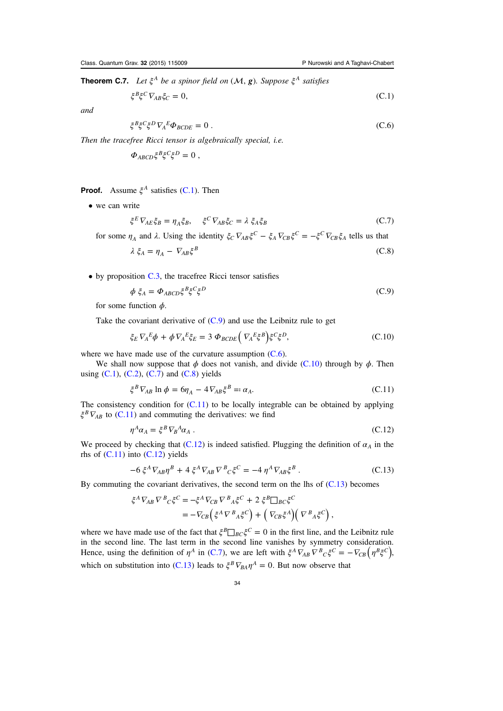**Theorem C.7.** Let  $\xi^A$  be a spinor field on  $(\mathcal{M}, g)$ . Suppose  $\xi^A$  satisfies

$$
\xi^B \xi^C \nabla_{AB} \xi_C = 0,\tag{C.1}
$$

and

$$
\xi^B \xi^C \xi^D \nabla_A^A \Phi_{BCDE} = 0 \tag{C.6}
$$

Then the tracefree Ricci tensor is algebraically special, i.e.

$$
\Phi_{ABCD}\xi^B\xi^C\xi^D=0\ ,
$$

Proof. Assume *ξ<sup>A</sup>* satisfies [\(C.1](#page-32-0)). Then

• we can write

$$
\xi^E V_{AE} \xi_B = \eta_A \xi_B, \quad \xi^C V_{AB} \xi_C = \lambda \xi_A \xi_B \tag{C.7}
$$

for some  $\eta_A$  and  $\lambda$ . Using the identity  $\xi_C \nabla_{AB} \xi^C - \xi_A \nabla_{CB} \xi^C = -\xi^C \nabla_{CB} \xi_A$  tells us that

$$
\lambda \xi_A = \eta_A - \nabla_{AB} \xi^B \tag{C.8}
$$

• by proposition [C.3](#page-32-0), the tracefree Ricci tensor satisfies

$$
\phi \xi_A = \Phi_{ABCD} \xi^B \xi^C \xi^D \tag{C.9}
$$

for some function  $\phi$ .

Take the covariant derivative of  $(C.9)$  and use the Leibnitz rule to get

$$
\xi_E \nabla_A^E \phi + \phi \nabla_A^E \xi_E = 3 \Phi_{BCDE} \left( \nabla_A^E \xi^B \right) \xi^C \xi^D, \tag{C.10}
$$

where we have made use of the curvature assumption  $(C.6)$ .

We shall now suppose that  $\phi$  does not vanish, and divide (C.10) through by  $\phi$ . Then using  $(C.1)$  $(C.1)$ ,  $(C.2)$  $(C.2)$  $(C.2)$ ,  $(C.7)$  and  $(C.8)$  yields

$$
\xi^B \nabla_{AB} \ln \phi = 6\eta_A - 4 \nabla_{AB} \xi^B =: \alpha_A. \tag{C.11}
$$

The consistency condition for  $(C.11)$  to be locally integrable can be obtained by applying  $\zeta^B \nabla_{AB}$  to (C.11) and commuting the derivatives: we find

$$
\eta^A \alpha_A = \xi^B \nabla_B^A \alpha_A \,. \tag{C.12}
$$

We proceed by checking that (C.12) is indeed satisfied. Plugging the definition of  $\alpha_A$  in the rhs of  $(C.11)$  into  $(C.12)$  yields

$$
-6\xi^{A} \nabla_{AB} \eta^{B} + 4\xi^{A} \nabla_{AB} \nabla^{B}{}_{C}\xi^{C} = -4 \eta^{A} \nabla_{AB} \xi^{B} . \tag{C.13}
$$

By commuting the covariant derivatives, the second term on the lhs of (C.13) becomes

$$
\xi^A \nabla_{AB} \nabla^B{}_C \xi^C = -\xi^A \nabla_{CB} \nabla^B{}_A \xi^C + 2 \xi^B \square_{BC} \xi^C
$$
  
= 
$$
-\nabla_{CB} \left( \xi^A \nabla^B{}_A \xi^C \right) + \left( \nabla_{CB} \xi^A \right) \left( \nabla^B{}_A \xi^C \right),
$$

where we have made use of the fact that  $\zeta^B \Box_{BC} \zeta^C = 0$  in the first line, and the Leibnitz rule in the second line. The last term in the second line vanishes by symmetry consideration. Hence, using the definition of  $\eta^A$  in (C.7), we are left with  $\xi^A \overline{V}_{AB} \overline{V}^B{}_C \xi^C = -\overline{V}_{CB} (\eta^B \xi^C)$ , which on substitution into (C.13) leads to  $\xi^B \nabla_{BA} \eta^A = 0$ . But now observe that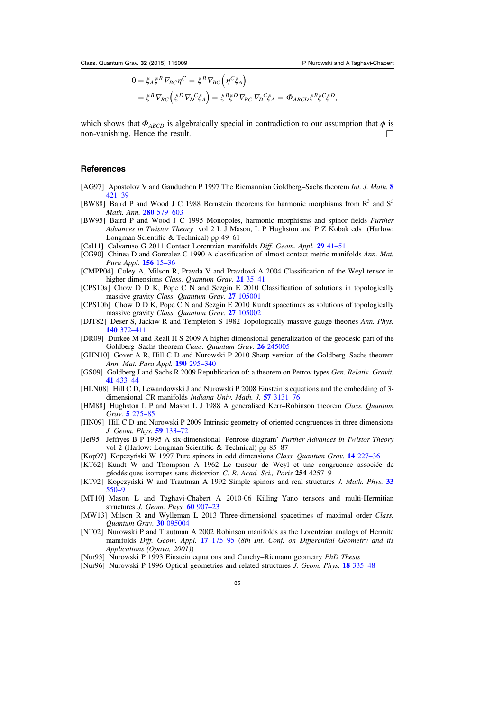$$
0 = \xi_A \xi^B \nabla_{BC} \eta^C = \xi^B \nabla_{BC} (\eta^C \xi_A)
$$
  
=  $\xi^B \nabla_{BC} (\xi^D \nabla_D^C \xi_A) = \xi^B \xi^D \nabla_{BC} \nabla_D^C \xi_A = \Phi_{ABCD} \xi^B \xi^C \xi^D,$ 

<span id="page-35-0"></span>which shows that  $\Phi_{ABCD}$  is algebraically special in contradiction to our assumption that  $\phi$  is non-vanishing. Hence the result. □

#### **References**

- [AG97] Apostolov V and Gauduchon P 1997 The Riemannian Goldberg–Sachs theorem Int. J. Math. [8](http://dx.doi.org/10.1142/S0129167X97000214) [421](http://dx.doi.org/10.1142/S0129167X97000214)–39
- [BW88] Baird P and Wood J C 1988 Bernstein theorems for harmonic morphisms from  $R<sup>3</sup>$  and  $S<sup>3</sup>$ Math. Ann. **[280](http://dx.doi.org/10.1007/BF01450078)** [579](http://dx.doi.org/10.1007/BF01450078)–603
- [BW95] Baird P and Wood J C 1995 Monopoles, harmonic morphisms and spinor fields Further Advances in Twistor Theory vol 2 L J Mason, L P Hughston and P Z Kobak eds (Harlow: Longman Scientific & Technical) pp 49–61
- [Cal11] Calvaruso G 2011 Contact Lorentzian manifolds Diff. Geom. Appl. [29](http://dx.doi.org/10.1016/j.difgeo.2011.04.006) 41-51
- [CG90] Chinea D and Gonzalez C 1990 A classification of almost contact metric manifolds Ann. Mat. Pura Appl. [156](http://dx.doi.org/10.1007/BF01766972) 15–36
- [CMPP04] Coley A, Milson R, Pravda V and Pravdová A 2004 Classification of the Weyl tensor in higher dimensions *Class. Quantum Grav.* [21](http://dx.doi.org/10.1088/0264-9381/21/7/L01) 35–41
- [CPS10a] Chow D D K, Pope C N and Sezgin E 2010 Classification of solutions in topologically massive gravity Class. Quantum Grav. 27 [105001](http://dx.doi.org/10.1088/0264-9381/27/10/105001)
- [CPS10b] Chow D D K, Pope C N and Sezgin E 2010 Kundt spacetimes as solutions of topologically massive gravity Class. Quantum Grav. 27 [105002](http://dx.doi.org/10.1088/0264-9381/27/10/105001)
- [DJT82] Deser S, Jackiw R and Templeton S 1982 Topologically massive gauge theories Ann. Phys. 140 [372](http://dx.doi.org/10.1016/0003-4916(82)90164-6)–411
- [DR09] Durkee M and Reall H S 2009 A higher dimensional generalization of the geodesic part of the Goldberg–Sachs theorem Class. Quantum Grav. 26 [245005](http://dx.doi.org/10.1088/0264-9381/26/24/245005)
- [GHN10] Gover A R, Hill C D and Nurowski P 2010 Sharp version of the Goldberg–Sachs theorem Ann. Mat. Pura Appl. 190 [295](http://dx.doi.org/10.1007/s10231-010-0151-4)–340
- [GS09] Goldberg J and Sachs R 2009 Republication of: a theorem on Petrov types Gen. Relativ. Gravit. 41 [433](http://dx.doi.org/10.1007/s10714-008-0722-5)–44
- [HLN08] Hill C D, Lewandowski J and Nurowski P 2008 Einstein's equations and the embedding of 3 dimensional CR manifolds Indiana Univ. Math. J. 57 [3131](http://dx.doi.org/10.1512/iumj.2008.57.3473)–76
- [HM88] Hughston L P and Mason L J 1988 A generalised Kerr–Robinson theorem Class. Quantum Grav. 5 [275](http://dx.doi.org/10.1088/0264-9381/5/2/007)–85
- [HN09] Hill C D and Nurowski P 2009 Intrinsic geometry of oriented congruences in three dimensions J. Geom. Phys. 59 [133](http://dx.doi.org/10.1016/j.geomphys.2008.10.001)–72
- [Jef95] Jeffryes B P 1995 A six-dimensional 'Penrose diagram' Further Advances in Twistor Theory vol 2 (Harlow: Longman Scientific & Technical) pp 85–87
- [Kop97] Kopczyński W 1997 Pure spinors in odd dimensions Class. Quantum Grav. 14 [227](http://dx.doi.org/10.1088/0264-9381/14/1A/018)–36
- [KT62] Kundt W and Thompson A 1962 Le tenseur de Weyl et une congruence associée de géodésiques isotropes sans distorsion C. R. Acad. Sci., Paris 254 4257–9
- [KT92] Kopczyński W and Trautman A 1992 Simple spinors and real structures J. Math. Phys. [33](http://dx.doi.org/10.1063/1.529789) [550](http://dx.doi.org/10.1063/1.529789)–9
- [MT10] Mason L and Taghavi-Chabert A 2010-06 Killing–Yano tensors and multi-Hermitian structures J. Geom. Phys. 60 [907](http://dx.doi.org/10.1016/j.geomphys.2010.02.008)–23
- [MW13] Milson R and Wylleman L 2013 Three-dimensional spacetimes of maximal order Class. Quantum Grav. 30 [095004](http://dx.doi.org/10.1088/0264-9381/30/9/095004)
- [NT02] Nurowski P and Trautman A 2002 Robinson manifolds as the Lorentzian analogs of Hermite manifolds Diff. Geom. Appl. 17 [175](http://dx.doi.org/10.1016/S0926-2245(02)00106-7)-95 (8th Int. Conf. on Differential Geometry and its Applications (Opava, 2001))
- [Nur93] Nurowski P 1993 Einstein equations and Cauchy–Riemann geometry PhD Thesis
- [Nur96] Nurowski P 1996 Optical geometries and related structures J. Geom. Phys. 18 [335](http://dx.doi.org/10.1016/0393-0440(95)00012-7)–48